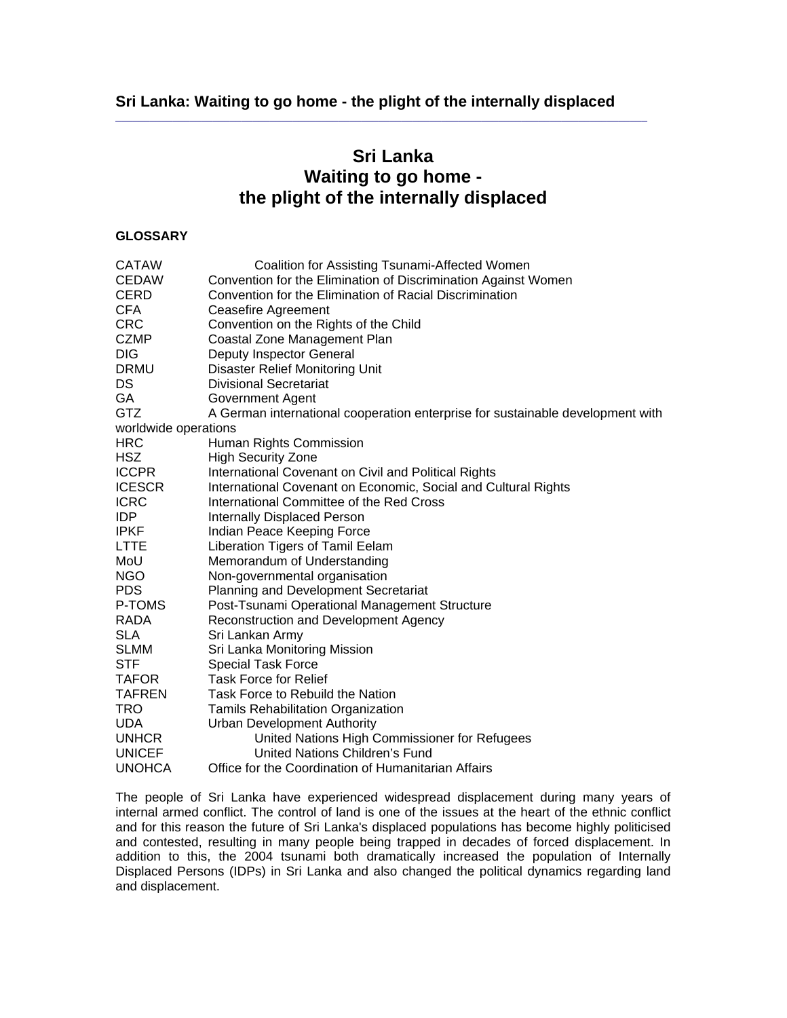$\_$  ,  $\_$  ,  $\_$  ,  $\_$  ,  $\_$  ,  $\_$  ,  $\_$  ,  $\_$  ,  $\_$  ,  $\_$  ,  $\_$  ,  $\_$  ,  $\_$  ,  $\_$  ,  $\_$  ,  $\_$  ,  $\_$  ,  $\_$  ,  $\_$  ,  $\_$ 

# **Sri Lanka Waiting to go home the plight of the internally displaced**

# **GLOSSARY**

| <b>CATAW</b>         | Coalition for Assisting Tsunami-Affected Women                                 |
|----------------------|--------------------------------------------------------------------------------|
| <b>CEDAW</b>         | Convention for the Elimination of Discrimination Against Women                 |
| <b>CERD</b>          | Convention for the Elimination of Racial Discrimination                        |
| <b>CFA</b>           | Ceasefire Agreement                                                            |
| <b>CRC</b>           | Convention on the Rights of the Child                                          |
| <b>CZMP</b>          | Coastal Zone Management Plan                                                   |
| <b>DIG</b>           | Deputy Inspector General                                                       |
| <b>DRMU</b>          | <b>Disaster Relief Monitoring Unit</b>                                         |
| DS                   | <b>Divisional Secretariat</b>                                                  |
| GA                   | <b>Government Agent</b>                                                        |
| <b>GTZ</b>           | A German international cooperation enterprise for sustainable development with |
| worldwide operations |                                                                                |
| <b>HRC</b>           | Human Rights Commission                                                        |
| <b>HSZ</b>           | <b>High Security Zone</b>                                                      |
| <b>ICCPR</b>         | International Covenant on Civil and Political Rights                           |
| <b>ICESCR</b>        | International Covenant on Economic, Social and Cultural Rights                 |
| <b>ICRC</b>          | International Committee of the Red Cross                                       |
| <b>IDP</b>           | <b>Internally Displaced Person</b>                                             |
| <b>IPKF</b>          | Indian Peace Keeping Force                                                     |
| <b>LTTE</b>          | Liberation Tigers of Tamil Eelam                                               |
| MoU                  | Memorandum of Understanding                                                    |
| <b>NGO</b>           | Non-governmental organisation                                                  |
| <b>PDS</b>           | Planning and Development Secretariat                                           |
| P-TOMS               | Post-Tsunami Operational Management Structure                                  |
| <b>RADA</b>          | Reconstruction and Development Agency                                          |
| <b>SLA</b>           | Sri Lankan Army                                                                |
| <b>SLMM</b>          | Sri Lanka Monitoring Mission                                                   |
| <b>STF</b>           | <b>Special Task Force</b>                                                      |
| <b>TAFOR</b>         | <b>Task Force for Relief</b>                                                   |
| <b>TAFREN</b>        | Task Force to Rebuild the Nation                                               |
| <b>TRO</b>           | Tamils Rehabilitation Organization                                             |
| UDA.                 | <b>Urban Development Authority</b>                                             |
| <b>UNHCR</b>         | United Nations High Commissioner for Refugees                                  |
| <b>UNICEF</b>        | United Nations Children's Fund                                                 |
| <b>UNOHCA</b>        | Office for the Coordination of Humanitarian Affairs                            |

The people of Sri Lanka have experienced widespread displacement during many years of internal armed conflict. The control of land is one of the issues at the heart of the ethnic conflict and for this reason the future of Sri Lanka's displaced populations has become highly politicised and contested, resulting in many people being trapped in decades of forced displacement. In addition to this, the 2004 tsunami both dramatically increased the population of Internally Displaced Persons (IDPs) in Sri Lanka and also changed the political dynamics regarding land and displacement.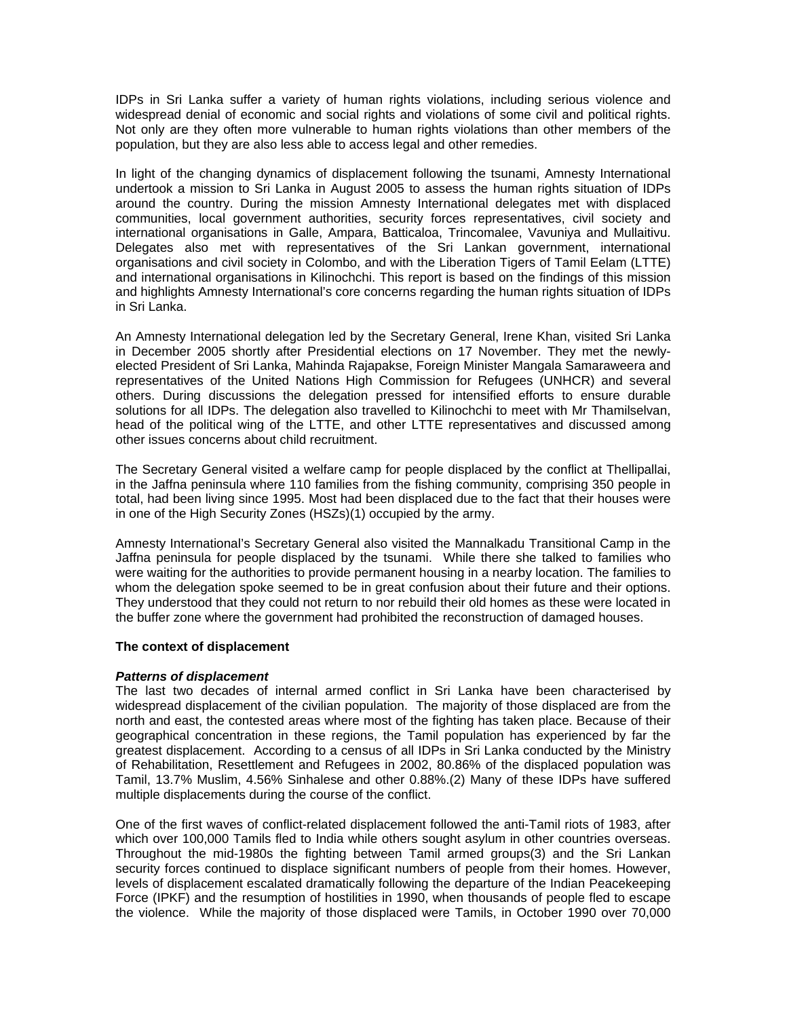IDPs in Sri Lanka suffer a variety of human rights violations, including serious violence and widespread denial of economic and social rights and violations of some civil and political rights. Not only are they often more vulnerable to human rights violations than other members of the population, but they are also less able to access legal and other remedies.

In light of the changing dynamics of displacement following the tsunami, Amnesty International undertook a mission to Sri Lanka in August 2005 to assess the human rights situation of IDPs around the country. During the mission Amnesty International delegates met with displaced communities, local government authorities, security forces representatives, civil society and international organisations in Galle, Ampara, Batticaloa, Trincomalee, Vavuniya and Mullaitivu. Delegates also met with representatives of the Sri Lankan government, international organisations and civil society in Colombo, and with the Liberation Tigers of Tamil Eelam (LTTE) and international organisations in Kilinochchi. This report is based on the findings of this mission and highlights Amnesty International's core concerns regarding the human rights situation of IDPs in Sri Lanka.

An Amnesty International delegation led by the Secretary General, Irene Khan, visited Sri Lanka in December 2005 shortly after Presidential elections on 17 November. They met the newlyelected President of Sri Lanka, Mahinda Rajapakse, Foreign Minister Mangala Samaraweera and representatives of the United Nations High Commission for Refugees (UNHCR) and several others. During discussions the delegation pressed for intensified efforts to ensure durable solutions for all IDPs. The delegation also travelled to Kilinochchi to meet with Mr Thamilselvan, head of the political wing of the LTTE, and other LTTE representatives and discussed among other issues concerns about child recruitment.

The Secretary General visited a welfare camp for people displaced by the conflict at Thellipallai, in the Jaffna peninsula where 110 families from the fishing community, comprising 350 people in total, had been living since 1995. Most had been displaced due to the fact that their houses were in one of the High Security Zones (HSZs)(1) occupied by the army.

Amnesty International's Secretary General also visited the Mannalkadu Transitional Camp in the Jaffna peninsula for people displaced by the tsunami. While there she talked to families who were waiting for the authorities to provide permanent housing in a nearby location. The families to whom the delegation spoke seemed to be in great confusion about their future and their options. They understood that they could not return to nor rebuild their old homes as these were located in the buffer zone where the government had prohibited the reconstruction of damaged houses.

## **The context of displacement**

#### *Patterns of displacement*

The last two decades of internal armed conflict in Sri Lanka have been characterised by widespread displacement of the civilian population. The majority of those displaced are from the north and east, the contested areas where most of the fighting has taken place. Because of their geographical concentration in these regions, the Tamil population has experienced by far the greatest displacement. According to a census of all IDPs in Sri Lanka conducted by the Ministry of Rehabilitation, Resettlement and Refugees in 2002, 80.86% of the displaced population was Tamil, 13.7% Muslim, 4.56% Sinhalese and other 0.88%.(2) Many of these IDPs have suffered multiple displacements during the course of the conflict.

One of the first waves of conflict-related displacement followed the anti-Tamil riots of 1983, after which over 100,000 Tamils fled to India while others sought asylum in other countries overseas. Throughout the mid-1980s the fighting between Tamil armed groups(3) and the Sri Lankan security forces continued to displace significant numbers of people from their homes. However, levels of displacement escalated dramatically following the departure of the Indian Peacekeeping Force (IPKF) and the resumption of hostilities in 1990, when thousands of people fled to escape the violence. While the majority of those displaced were Tamils, in October 1990 over 70,000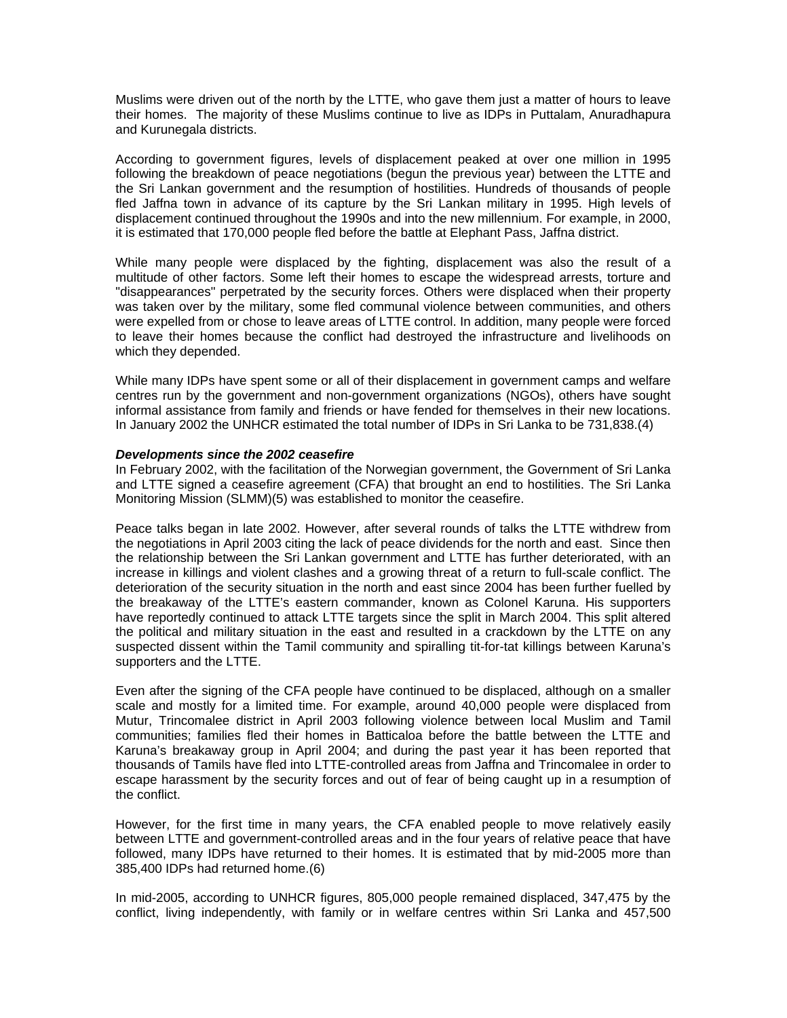Muslims were driven out of the north by the LTTE, who gave them just a matter of hours to leave their homes. The majority of these Muslims continue to live as IDPs in Puttalam, Anuradhapura and Kurunegala districts.

According to government figures, levels of displacement peaked at over one million in 1995 following the breakdown of peace negotiations (begun the previous year) between the LTTE and the Sri Lankan government and the resumption of hostilities. Hundreds of thousands of people fled Jaffna town in advance of its capture by the Sri Lankan military in 1995. High levels of displacement continued throughout the 1990s and into the new millennium. For example, in 2000, it is estimated that 170,000 people fled before the battle at Elephant Pass, Jaffna district.

While many people were displaced by the fighting, displacement was also the result of a multitude of other factors. Some left their homes to escape the widespread arrests, torture and "disappearances" perpetrated by the security forces. Others were displaced when their property was taken over by the military, some fled communal violence between communities, and others were expelled from or chose to leave areas of LTTE control. In addition, many people were forced to leave their homes because the conflict had destroyed the infrastructure and livelihoods on which they depended.

While many IDPs have spent some or all of their displacement in government camps and welfare centres run by the government and non-government organizations (NGOs), others have sought informal assistance from family and friends or have fended for themselves in their new locations. In January 2002 the UNHCR estimated the total number of IDPs in Sri Lanka to be 731,838.(4)

#### *Developments since the 2002 ceasefire*

In February 2002, with the facilitation of the Norwegian government, the Government of Sri Lanka and LTTE signed a ceasefire agreement (CFA) that brought an end to hostilities. The Sri Lanka Monitoring Mission (SLMM)(5) was established to monitor the ceasefire.

Peace talks began in late 2002. However, after several rounds of talks the LTTE withdrew from the negotiations in April 2003 citing the lack of peace dividends for the north and east. Since then the relationship between the Sri Lankan government and LTTE has further deteriorated, with an increase in killings and violent clashes and a growing threat of a return to full-scale conflict. The deterioration of the security situation in the north and east since 2004 has been further fuelled by the breakaway of the LTTE's eastern commander, known as Colonel Karuna. His supporters have reportedly continued to attack LTTE targets since the split in March 2004. This split altered the political and military situation in the east and resulted in a crackdown by the LTTE on any suspected dissent within the Tamil community and spiralling tit-for-tat killings between Karuna's supporters and the LTTE.

Even after the signing of the CFA people have continued to be displaced, although on a smaller scale and mostly for a limited time. For example, around 40,000 people were displaced from Mutur, Trincomalee district in April 2003 following violence between local Muslim and Tamil communities; families fled their homes in Batticaloa before the battle between the LTTE and Karuna's breakaway group in April 2004; and during the past year it has been reported that thousands of Tamils have fled into LTTE-controlled areas from Jaffna and Trincomalee in order to escape harassment by the security forces and out of fear of being caught up in a resumption of the conflict.

However, for the first time in many years, the CFA enabled people to move relatively easily between LTTE and government-controlled areas and in the four years of relative peace that have followed, many IDPs have returned to their homes. It is estimated that by mid-2005 more than 385,400 IDPs had returned home.(6)

In mid-2005, according to UNHCR figures, 805,000 people remained displaced, 347,475 by the conflict, living independently, with family or in welfare centres within Sri Lanka and 457,500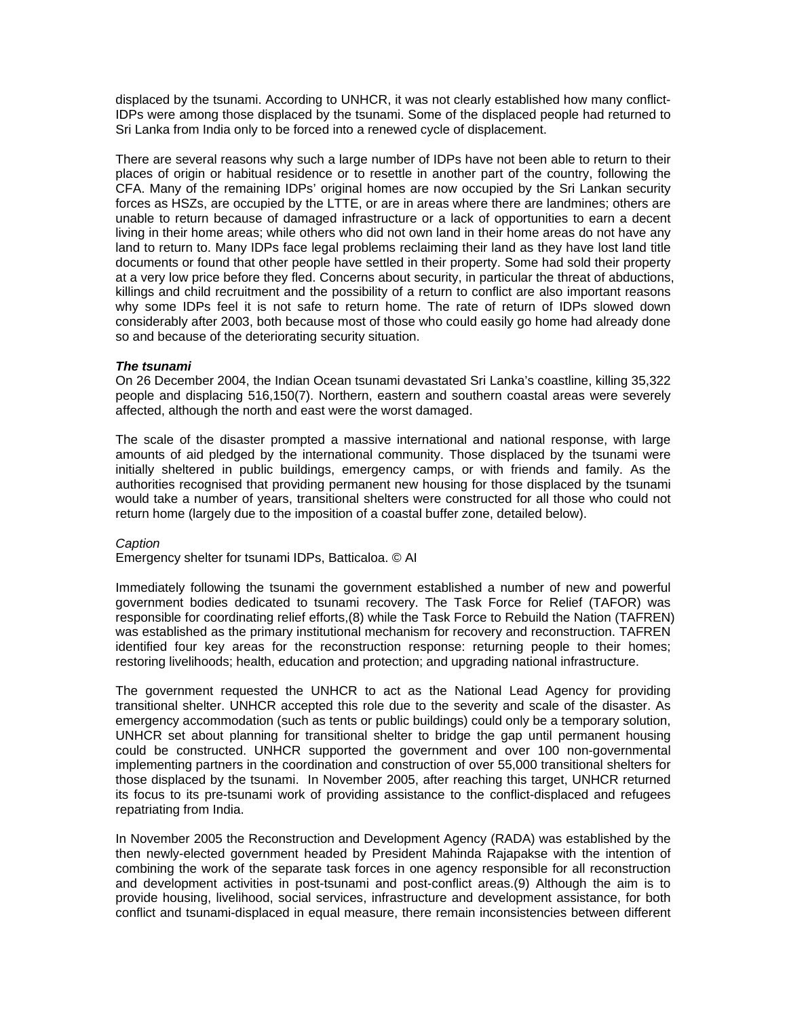displaced by the tsunami. According to UNHCR, it was not clearly established how many conflict-IDPs were among those displaced by the tsunami. Some of the displaced people had returned to Sri Lanka from India only to be forced into a renewed cycle of displacement.

There are several reasons why such a large number of IDPs have not been able to return to their places of origin or habitual residence or to resettle in another part of the country, following the CFA. Many of the remaining IDPs' original homes are now occupied by the Sri Lankan security forces as HSZs, are occupied by the LTTE, or are in areas where there are landmines; others are unable to return because of damaged infrastructure or a lack of opportunities to earn a decent living in their home areas; while others who did not own land in their home areas do not have any land to return to. Many IDPs face legal problems reclaiming their land as they have lost land title documents or found that other people have settled in their property. Some had sold their property at a very low price before they fled. Concerns about security, in particular the threat of abductions, killings and child recruitment and the possibility of a return to conflict are also important reasons why some IDPs feel it is not safe to return home. The rate of return of IDPs slowed down considerably after 2003, both because most of those who could easily go home had already done so and because of the deteriorating security situation.

#### *The tsunami*

On 26 December 2004, the Indian Ocean tsunami devastated Sri Lanka's coastline, killing 35,322 people and displacing 516,150(7). Northern, eastern and southern coastal areas were severely affected, although the north and east were the worst damaged.

The scale of the disaster prompted a massive international and national response, with large amounts of aid pledged by the international community. Those displaced by the tsunami were initially sheltered in public buildings, emergency camps, or with friends and family. As the authorities recognised that providing permanent new housing for those displaced by the tsunami would take a number of years, transitional shelters were constructed for all those who could not return home (largely due to the imposition of a coastal buffer zone, detailed below).

#### *Caption*

Emergency shelter for tsunami IDPs, Batticaloa. © AI

Immediately following the tsunami the government established a number of new and powerful government bodies dedicated to tsunami recovery. The Task Force for Relief (TAFOR) was responsible for coordinating relief efforts,(8) while the Task Force to Rebuild the Nation (TAFREN) was established as the primary institutional mechanism for recovery and reconstruction. TAFREN identified four key areas for the reconstruction response: returning people to their homes; restoring livelihoods; health, education and protection; and upgrading national infrastructure.

The government requested the UNHCR to act as the National Lead Agency for providing transitional shelter. UNHCR accepted this role due to the severity and scale of the disaster. As emergency accommodation (such as tents or public buildings) could only be a temporary solution, UNHCR set about planning for transitional shelter to bridge the gap until permanent housing could be constructed. UNHCR supported the government and over 100 non-governmental implementing partners in the coordination and construction of over 55,000 transitional shelters for those displaced by the tsunami. In November 2005, after reaching this target, UNHCR returned its focus to its pre-tsunami work of providing assistance to the conflict-displaced and refugees repatriating from India.

In November 2005 the Reconstruction and Development Agency (RADA) was established by the then newly-elected government headed by President Mahinda Rajapakse with the intention of combining the work of the separate task forces in one agency responsible for all reconstruction and development activities in post-tsunami and post-conflict areas.(9) Although the aim is to provide housing, livelihood, social services, infrastructure and development assistance, for both conflict and tsunami-displaced in equal measure, there remain inconsistencies between different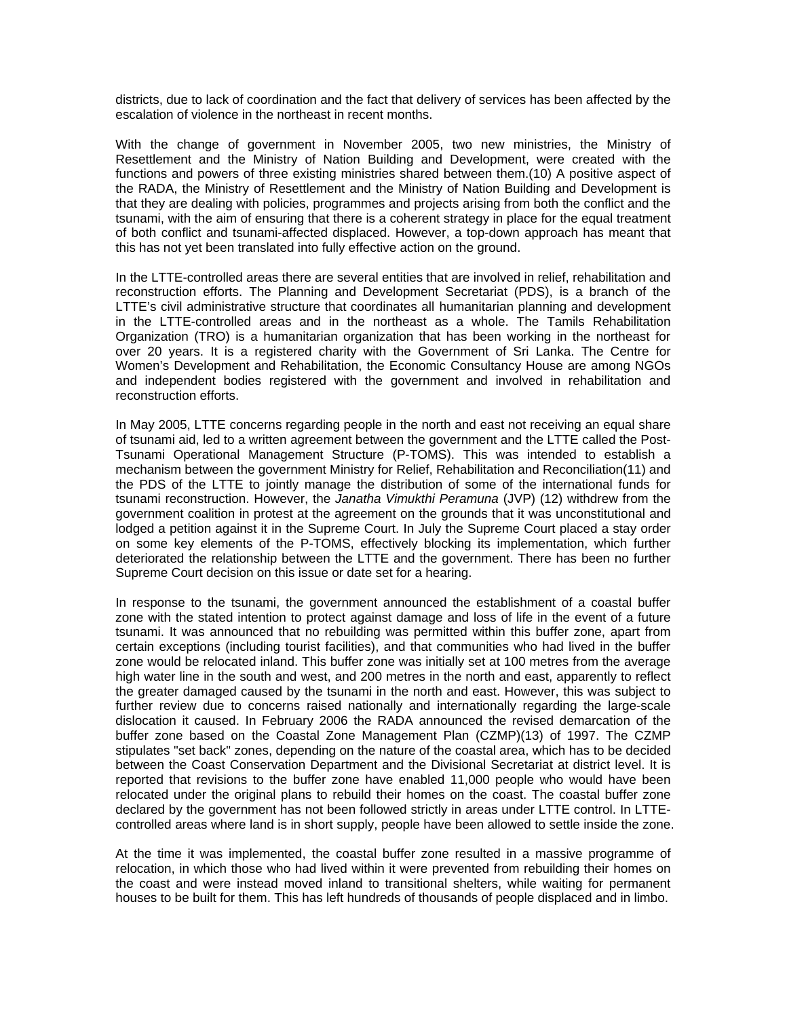districts, due to lack of coordination and the fact that delivery of services has been affected by the escalation of violence in the northeast in recent months.

With the change of government in November 2005, two new ministries, the Ministry of Resettlement and the Ministry of Nation Building and Development, were created with the functions and powers of three existing ministries shared between them.(10) A positive aspect of the RADA, the Ministry of Resettlement and the Ministry of Nation Building and Development is that they are dealing with policies, programmes and projects arising from both the conflict and the tsunami, with the aim of ensuring that there is a coherent strategy in place for the equal treatment of both conflict and tsunami-affected displaced. However, a top-down approach has meant that this has not yet been translated into fully effective action on the ground.

In the LTTE-controlled areas there are several entities that are involved in relief, rehabilitation and reconstruction efforts. The Planning and Development Secretariat (PDS), is a branch of the LTTE's civil administrative structure that coordinates all humanitarian planning and development in the LTTE-controlled areas and in the northeast as a whole. The Tamils Rehabilitation Organization (TRO) is a humanitarian organization that has been working in the northeast for over 20 years. It is a registered charity with the Government of Sri Lanka. The Centre for Women's Development and Rehabilitation, the Economic Consultancy House are among NGOs and independent bodies registered with the government and involved in rehabilitation and reconstruction efforts.

In May 2005, LTTE concerns regarding people in the north and east not receiving an equal share of tsunami aid, led to a written agreement between the government and the LTTE called the Post-Tsunami Operational Management Structure (P-TOMS). This was intended to establish a mechanism between the government Ministry for Relief, Rehabilitation and Reconciliation(11) and the PDS of the LTTE to jointly manage the distribution of some of the international funds for tsunami reconstruction. However, the *Janatha Vimukthi Peramuna* (JVP) (12) withdrew from the government coalition in protest at the agreement on the grounds that it was unconstitutional and lodged a petition against it in the Supreme Court. In July the Supreme Court placed a stay order on some key elements of the P-TOMS, effectively blocking its implementation, which further deteriorated the relationship between the LTTE and the government. There has been no further Supreme Court decision on this issue or date set for a hearing.

In response to the tsunami, the government announced the establishment of a coastal buffer zone with the stated intention to protect against damage and loss of life in the event of a future tsunami. It was announced that no rebuilding was permitted within this buffer zone, apart from certain exceptions (including tourist facilities), and that communities who had lived in the buffer zone would be relocated inland. This buffer zone was initially set at 100 metres from the average high water line in the south and west, and 200 metres in the north and east, apparently to reflect the greater damaged caused by the tsunami in the north and east. However, this was subject to further review due to concerns raised nationally and internationally regarding the large-scale dislocation it caused. In February 2006 the RADA announced the revised demarcation of the buffer zone based on the Coastal Zone Management Plan (CZMP)(13) of 1997. The CZMP stipulates "set back" zones, depending on the nature of the coastal area, which has to be decided between the Coast Conservation Department and the Divisional Secretariat at district level. It is reported that revisions to the buffer zone have enabled 11,000 people who would have been relocated under the original plans to rebuild their homes on the coast. The coastal buffer zone declared by the government has not been followed strictly in areas under LTTE control. In LTTEcontrolled areas where land is in short supply, people have been allowed to settle inside the zone.

At the time it was implemented, the coastal buffer zone resulted in a massive programme of relocation, in which those who had lived within it were prevented from rebuilding their homes on the coast and were instead moved inland to transitional shelters, while waiting for permanent houses to be built for them. This has left hundreds of thousands of people displaced and in limbo.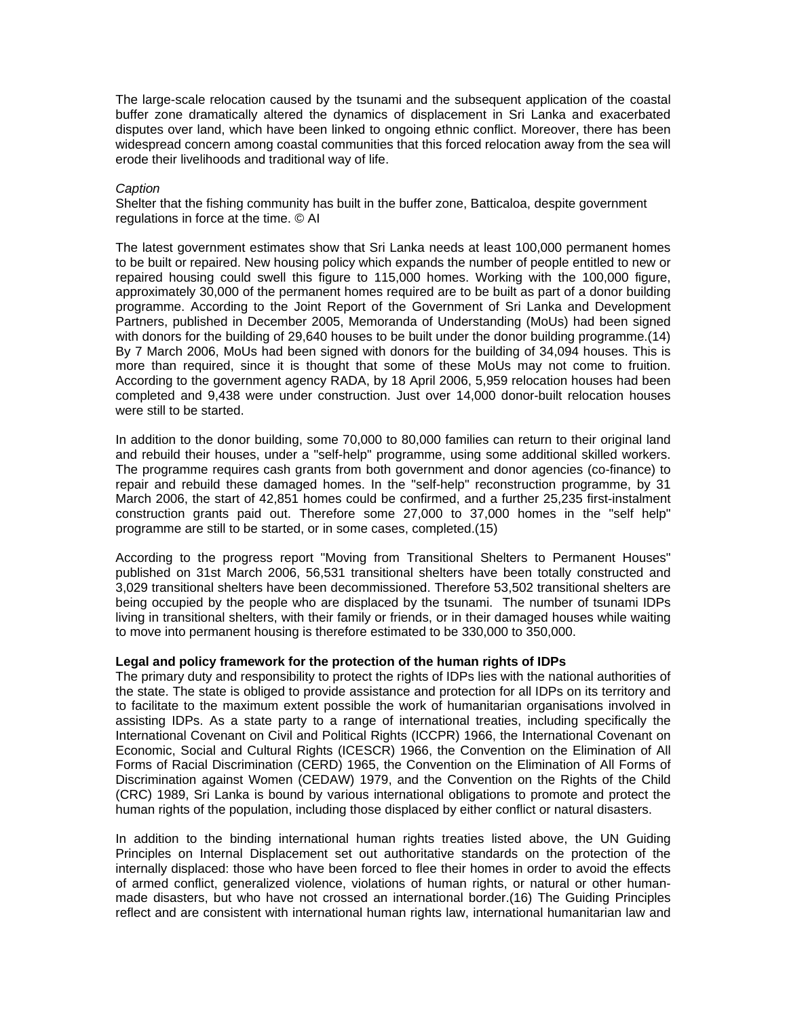The large-scale relocation caused by the tsunami and the subsequent application of the coastal buffer zone dramatically altered the dynamics of displacement in Sri Lanka and exacerbated disputes over land, which have been linked to ongoing ethnic conflict. Moreover, there has been widespread concern among coastal communities that this forced relocation away from the sea will erode their livelihoods and traditional way of life.

#### *Caption*

Shelter that the fishing community has built in the buffer zone, Batticaloa, despite government regulations in force at the time. © AI

The latest government estimates show that Sri Lanka needs at least 100,000 permanent homes to be built or repaired. New housing policy which expands the number of people entitled to new or repaired housing could swell this figure to 115,000 homes. Working with the 100,000 figure, approximately 30,000 of the permanent homes required are to be built as part of a donor building programme. According to the Joint Report of the Government of Sri Lanka and Development Partners, published in December 2005, Memoranda of Understanding (MoUs) had been signed with donors for the building of 29,640 houses to be built under the donor building programme.(14) By 7 March 2006, MoUs had been signed with donors for the building of 34,094 houses. This is more than required, since it is thought that some of these MoUs may not come to fruition. According to the government agency RADA, by 18 April 2006, 5,959 relocation houses had been completed and 9,438 were under construction. Just over 14,000 donor-built relocation houses were still to be started.

In addition to the donor building, some 70,000 to 80,000 families can return to their original land and rebuild their houses, under a "self-help" programme, using some additional skilled workers. The programme requires cash grants from both government and donor agencies (co-finance) to repair and rebuild these damaged homes. In the "self-help" reconstruction programme, by 31 March 2006, the start of 42,851 homes could be confirmed, and a further 25,235 first-instalment construction grants paid out. Therefore some 27,000 to 37,000 homes in the "self help" programme are still to be started, or in some cases, completed.(15)

According to the progress report "Moving from Transitional Shelters to Permanent Houses" published on 31st March 2006, 56,531 transitional shelters have been totally constructed and 3,029 transitional shelters have been decommissioned. Therefore 53,502 transitional shelters are being occupied by the people who are displaced by the tsunami. The number of tsunami IDPs living in transitional shelters, with their family or friends, or in their damaged houses while waiting to move into permanent housing is therefore estimated to be 330,000 to 350,000.

## **Legal and policy framework for the protection of the human rights of IDPs**

The primary duty and responsibility to protect the rights of IDPs lies with the national authorities of the state. The state is obliged to provide assistance and protection for all IDPs on its territory and to facilitate to the maximum extent possible the work of humanitarian organisations involved in assisting IDPs. As a state party to a range of international treaties, including specifically the International Covenant on Civil and Political Rights (ICCPR) 1966, the International Covenant on Economic, Social and Cultural Rights (ICESCR) 1966, the Convention on the Elimination of All Forms of Racial Discrimination (CERD) 1965, the Convention on the Elimination of All Forms of Discrimination against Women (CEDAW) 1979, and the Convention on the Rights of the Child (CRC) 1989, Sri Lanka is bound by various international obligations to promote and protect the human rights of the population, including those displaced by either conflict or natural disasters.

In addition to the binding international human rights treaties listed above, the UN Guiding Principles on Internal Displacement set out authoritative standards on the protection of the internally displaced: those who have been forced to flee their homes in order to avoid the effects of armed conflict, generalized violence, violations of human rights, or natural or other humanmade disasters, but who have not crossed an international border.(16) The Guiding Principles reflect and are consistent with international human rights law, international humanitarian law and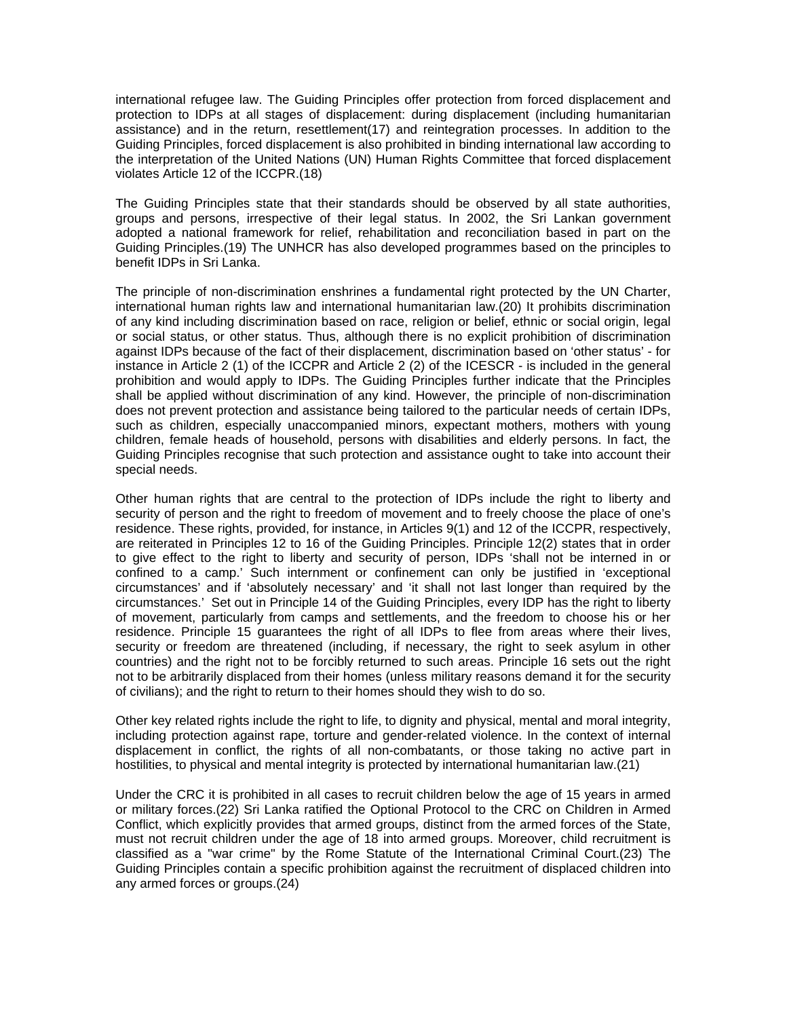international refugee law. The Guiding Principles offer protection from forced displacement and protection to IDPs at all stages of displacement: during displacement (including humanitarian assistance) and in the return, resettlement(17) and reintegration processes. In addition to the Guiding Principles, forced displacement is also prohibited in binding international law according to the interpretation of the United Nations (UN) Human Rights Committee that forced displacement violates Article 12 of the ICCPR.(18)

The Guiding Principles state that their standards should be observed by all state authorities, groups and persons, irrespective of their legal status. In 2002, the Sri Lankan government adopted a national framework for relief, rehabilitation and reconciliation based in part on the Guiding Principles.(19) The UNHCR has also developed programmes based on the principles to benefit IDPs in Sri Lanka.

The principle of non-discrimination enshrines a fundamental right protected by the UN Charter, international human rights law and international humanitarian law.(20) It prohibits discrimination of any kind including discrimination based on race, religion or belief, ethnic or social origin, legal or social status, or other status. Thus, although there is no explicit prohibition of discrimination against IDPs because of the fact of their displacement, discrimination based on 'other status' - for instance in Article 2 (1) of the ICCPR and Article 2 (2) of the ICESCR - is included in the general prohibition and would apply to IDPs. The Guiding Principles further indicate that the Principles shall be applied without discrimination of any kind. However, the principle of non-discrimination does not prevent protection and assistance being tailored to the particular needs of certain IDPs, such as children, especially unaccompanied minors, expectant mothers, mothers with young children, female heads of household, persons with disabilities and elderly persons. In fact, the Guiding Principles recognise that such protection and assistance ought to take into account their special needs.

Other human rights that are central to the protection of IDPs include the right to liberty and security of person and the right to freedom of movement and to freely choose the place of one's residence. These rights, provided, for instance, in Articles 9(1) and 12 of the ICCPR, respectively, are reiterated in Principles 12 to 16 of the Guiding Principles. Principle 12(2) states that in order to give effect to the right to liberty and security of person, IDPs 'shall not be interned in or confined to a camp.' Such internment or confinement can only be justified in 'exceptional circumstances' and if 'absolutely necessary' and 'it shall not last longer than required by the circumstances.' Set out in Principle 14 of the Guiding Principles, every IDP has the right to liberty of movement, particularly from camps and settlements, and the freedom to choose his or her residence. Principle 15 guarantees the right of all IDPs to flee from areas where their lives, security or freedom are threatened (including, if necessary, the right to seek asylum in other countries) and the right not to be forcibly returned to such areas. Principle 16 sets out the right not to be arbitrarily displaced from their homes (unless military reasons demand it for the security of civilians); and the right to return to their homes should they wish to do so.

Other key related rights include the right to life, to dignity and physical, mental and moral integrity, including protection against rape, torture and gender-related violence. In the context of internal displacement in conflict, the rights of all non-combatants, or those taking no active part in hostilities, to physical and mental integrity is protected by international humanitarian law.(21)

Under the CRC it is prohibited in all cases to recruit children below the age of 15 years in armed or military forces.(22) Sri Lanka ratified the Optional Protocol to the CRC on Children in Armed Conflict, which explicitly provides that armed groups, distinct from the armed forces of the State, must not recruit children under the age of 18 into armed groups. Moreover, child recruitment is classified as a "war crime" by the Rome Statute of the International Criminal Court.(23) The Guiding Principles contain a specific prohibition against the recruitment of displaced children into any armed forces or groups.(24)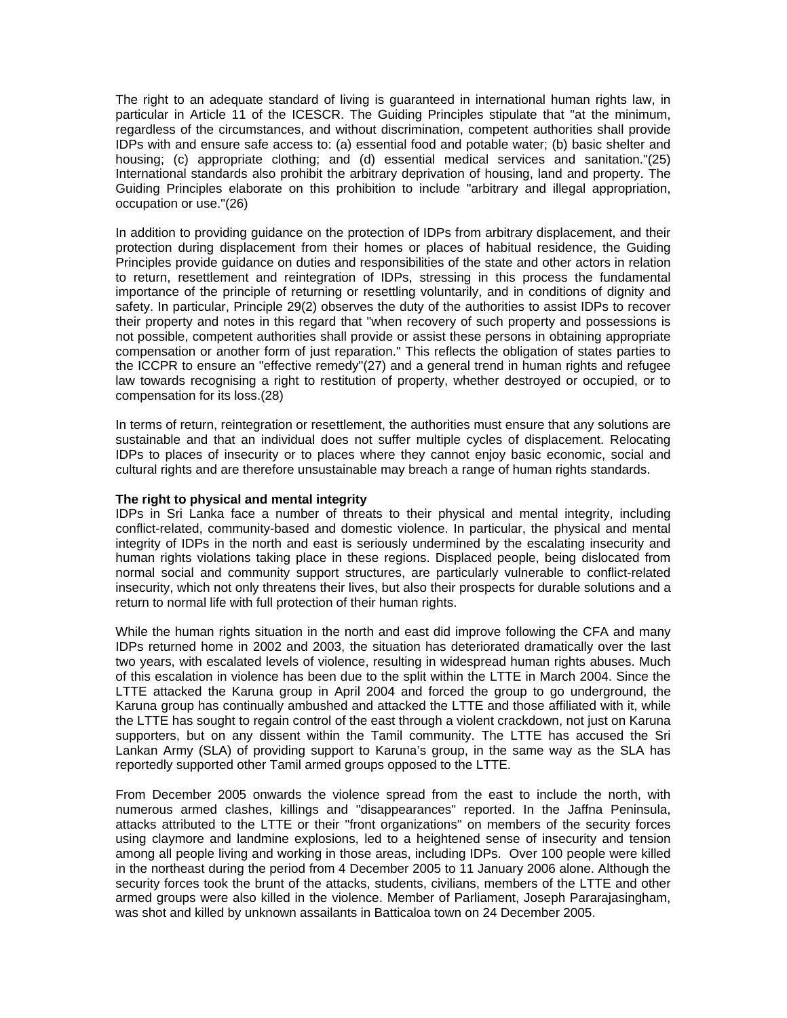The right to an adequate standard of living is guaranteed in international human rights law, in particular in Article 11 of the ICESCR. The Guiding Principles stipulate that "at the minimum, regardless of the circumstances, and without discrimination, competent authorities shall provide IDPs with and ensure safe access to: (a) essential food and potable water; (b) basic shelter and housing; (c) appropriate clothing; and (d) essential medical services and sanitation."(25) International standards also prohibit the arbitrary deprivation of housing, land and property. The Guiding Principles elaborate on this prohibition to include "arbitrary and illegal appropriation, occupation or use."(26)

In addition to providing guidance on the protection of IDPs from arbitrary displacement, and their protection during displacement from their homes or places of habitual residence, the Guiding Principles provide guidance on duties and responsibilities of the state and other actors in relation to return, resettlement and reintegration of IDPs, stressing in this process the fundamental importance of the principle of returning or resettling voluntarily, and in conditions of dignity and safety. In particular, Principle 29(2) observes the duty of the authorities to assist IDPs to recover their property and notes in this regard that "when recovery of such property and possessions is not possible, competent authorities shall provide or assist these persons in obtaining appropriate compensation or another form of just reparation." This reflects the obligation of states parties to the ICCPR to ensure an "effective remedy"(27) and a general trend in human rights and refugee law towards recognising a right to restitution of property, whether destroyed or occupied, or to compensation for its loss.(28)

In terms of return, reintegration or resettlement, the authorities must ensure that any solutions are sustainable and that an individual does not suffer multiple cycles of displacement. Relocating IDPs to places of insecurity or to places where they cannot enjoy basic economic, social and cultural rights and are therefore unsustainable may breach a range of human rights standards.

## **The right to physical and mental integrity**

IDPs in Sri Lanka face a number of threats to their physical and mental integrity, including conflict-related, community-based and domestic violence. In particular, the physical and mental integrity of IDPs in the north and east is seriously undermined by the escalating insecurity and human rights violations taking place in these regions. Displaced people, being dislocated from normal social and community support structures, are particularly vulnerable to conflict-related insecurity, which not only threatens their lives, but also their prospects for durable solutions and a return to normal life with full protection of their human rights.

While the human rights situation in the north and east did improve following the CFA and many IDPs returned home in 2002 and 2003, the situation has deteriorated dramatically over the last two years, with escalated levels of violence, resulting in widespread human rights abuses. Much of this escalation in violence has been due to the split within the LTTE in March 2004. Since the LTTE attacked the Karuna group in April 2004 and forced the group to go underground, the Karuna group has continually ambushed and attacked the LTTE and those affiliated with it, while the LTTE has sought to regain control of the east through a violent crackdown, not just on Karuna supporters, but on any dissent within the Tamil community. The LTTE has accused the Sri Lankan Army (SLA) of providing support to Karuna's group, in the same way as the SLA has reportedly supported other Tamil armed groups opposed to the LTTE.

From December 2005 onwards the violence spread from the east to include the north, with numerous armed clashes, killings and "disappearances" reported. In the Jaffna Peninsula, attacks attributed to the LTTE or their "front organizations" on members of the security forces using claymore and landmine explosions, led to a heightened sense of insecurity and tension among all people living and working in those areas, including IDPs. Over 100 people were killed in the northeast during the period from 4 December 2005 to 11 January 2006 alone. Although the security forces took the brunt of the attacks, students, civilians, members of the LTTE and other armed groups were also killed in the violence. Member of Parliament, Joseph Pararajasingham, was shot and killed by unknown assailants in Batticaloa town on 24 December 2005.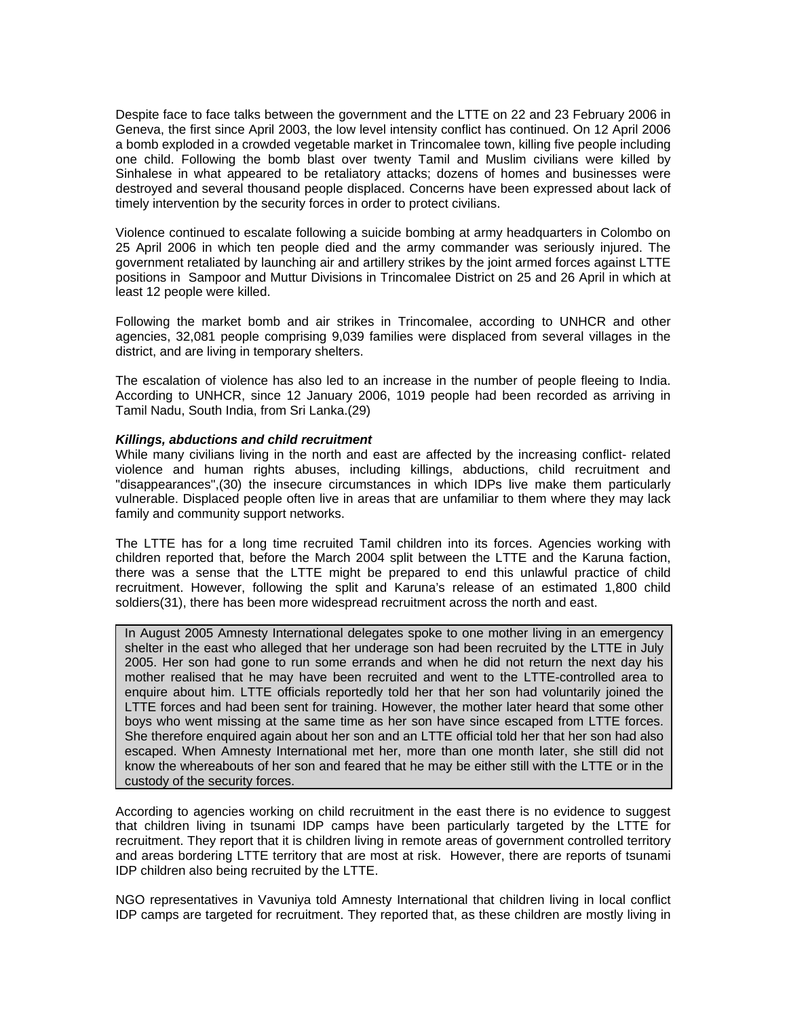Despite face to face talks between the government and the LTTE on 22 and 23 February 2006 in Geneva, the first since April 2003, the low level intensity conflict has continued. On 12 April 2006 a bomb exploded in a crowded vegetable market in Trincomalee town, killing five people including one child. Following the bomb blast over twenty Tamil and Muslim civilians were killed by Sinhalese in what appeared to be retaliatory attacks; dozens of homes and businesses were destroyed and several thousand people displaced. Concerns have been expressed about lack of timely intervention by the security forces in order to protect civilians.

Violence continued to escalate following a suicide bombing at army headquarters in Colombo on 25 April 2006 in which ten people died and the army commander was seriously injured. The government retaliated by launching air and artillery strikes by the joint armed forces against LTTE positions in Sampoor and Muttur Divisions in Trincomalee District on 25 and 26 April in which at least 12 people were killed.

Following the market bomb and air strikes in Trincomalee, according to UNHCR and other agencies, 32,081 people comprising 9,039 families were displaced from several villages in the district, and are living in temporary shelters.

The escalation of violence has also led to an increase in the number of people fleeing to India. According to UNHCR, since 12 January 2006, 1019 people had been recorded as arriving in Tamil Nadu, South India, from Sri Lanka.(29)

#### *Killings, abductions and child recruitment*

While many civilians living in the north and east are affected by the increasing conflict- related violence and human rights abuses, including killings, abductions, child recruitment and "disappearances",(30) the insecure circumstances in which IDPs live make them particularly vulnerable. Displaced people often live in areas that are unfamiliar to them where they may lack family and community support networks.

The LTTE has for a long time recruited Tamil children into its forces. Agencies working with children reported that, before the March 2004 split between the LTTE and the Karuna faction, there was a sense that the LTTE might be prepared to end this unlawful practice of child recruitment. However, following the split and Karuna's release of an estimated 1,800 child soldiers(31), there has been more widespread recruitment across the north and east.

In August 2005 Amnesty International delegates spoke to one mother living in an emergency shelter in the east who alleged that her underage son had been recruited by the LTTE in July 2005. Her son had gone to run some errands and when he did not return the next day his mother realised that he may have been recruited and went to the LTTE-controlled area to enquire about him. LTTE officials reportedly told her that her son had voluntarily joined the LTTE forces and had been sent for training. However, the mother later heard that some other boys who went missing at the same time as her son have since escaped from LTTE forces. She therefore enquired again about her son and an LTTE official told her that her son had also escaped. When Amnesty International met her, more than one month later, she still did not know the whereabouts of her son and feared that he may be either still with the LTTE or in the custody of the security forces.

According to agencies working on child recruitment in the east there is no evidence to suggest that children living in tsunami IDP camps have been particularly targeted by the LTTE for recruitment. They report that it is children living in remote areas of government controlled territory and areas bordering LTTE territory that are most at risk. However, there are reports of tsunami IDP children also being recruited by the LTTE.

NGO representatives in Vavuniya told Amnesty International that children living in local conflict IDP camps are targeted for recruitment. They reported that, as these children are mostly living in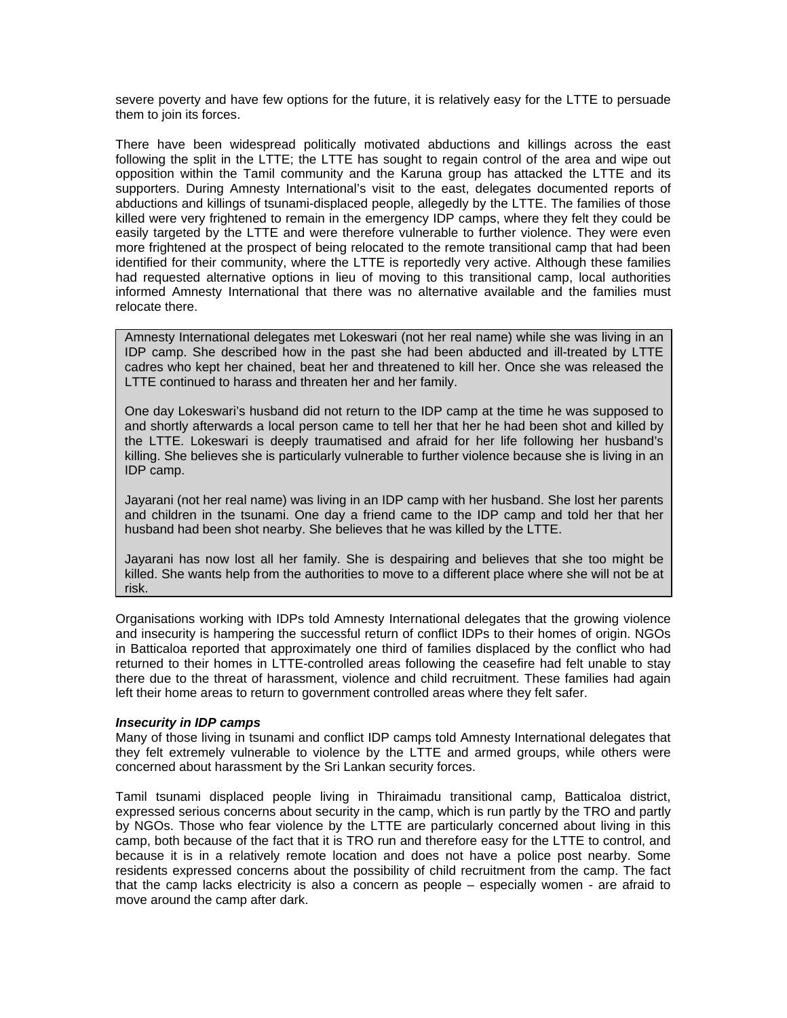severe poverty and have few options for the future, it is relatively easy for the LTTE to persuade them to join its forces.

There have been widespread politically motivated abductions and killings across the east following the split in the LTTE; the LTTE has sought to regain control of the area and wipe out opposition within the Tamil community and the Karuna group has attacked the LTTE and its supporters. During Amnesty International's visit to the east, delegates documented reports of abductions and killings of tsunami-displaced people, allegedly by the LTTE. The families of those killed were very frightened to remain in the emergency IDP camps, where they felt they could be easily targeted by the LTTE and were therefore vulnerable to further violence. They were even more frightened at the prospect of being relocated to the remote transitional camp that had been identified for their community, where the LTTE is reportedly very active. Although these families had requested alternative options in lieu of moving to this transitional camp, local authorities informed Amnesty International that there was no alternative available and the families must relocate there.

Amnesty International delegates met Lokeswari (not her real name) while she was living in an IDP camp. She described how in the past she had been abducted and ill-treated by LTTE cadres who kept her chained, beat her and threatened to kill her. Once she was released the LTTE continued to harass and threaten her and her family.

One day Lokeswari's husband did not return to the IDP camp at the time he was supposed to and shortly afterwards a local person came to tell her that her he had been shot and killed by the LTTE. Lokeswari is deeply traumatised and afraid for her life following her husband's killing. She believes she is particularly vulnerable to further violence because she is living in an IDP camp.

Jayarani (not her real name) was living in an IDP camp with her husband. She lost her parents and children in the tsunami. One day a friend came to the IDP camp and told her that her husband had been shot nearby. She believes that he was killed by the LTTE.

Jayarani has now lost all her family. She is despairing and believes that she too might be killed. She wants help from the authorities to move to a different place where she will not be at risk.

Organisations working with IDPs told Amnesty International delegates that the growing violence and insecurity is hampering the successful return of conflict IDPs to their homes of origin. NGOs in Batticaloa reported that approximately one third of families displaced by the conflict who had returned to their homes in LTTE-controlled areas following the ceasefire had felt unable to stay there due to the threat of harassment, violence and child recruitment. These families had again left their home areas to return to government controlled areas where they felt safer.

## *Insecurity in IDP camps*

Many of those living in tsunami and conflict IDP camps told Amnesty International delegates that they felt extremely vulnerable to violence by the LTTE and armed groups, while others were concerned about harassment by the Sri Lankan security forces.

Tamil tsunami displaced people living in Thiraimadu transitional camp, Batticaloa district, expressed serious concerns about security in the camp, which is run partly by the TRO and partly by NGOs. Those who fear violence by the LTTE are particularly concerned about living in this camp, both because of the fact that it is TRO run and therefore easy for the LTTE to control, and because it is in a relatively remote location and does not have a police post nearby. Some residents expressed concerns about the possibility of child recruitment from the camp. The fact that the camp lacks electricity is also a concern as people – especially women - are afraid to move around the camp after dark.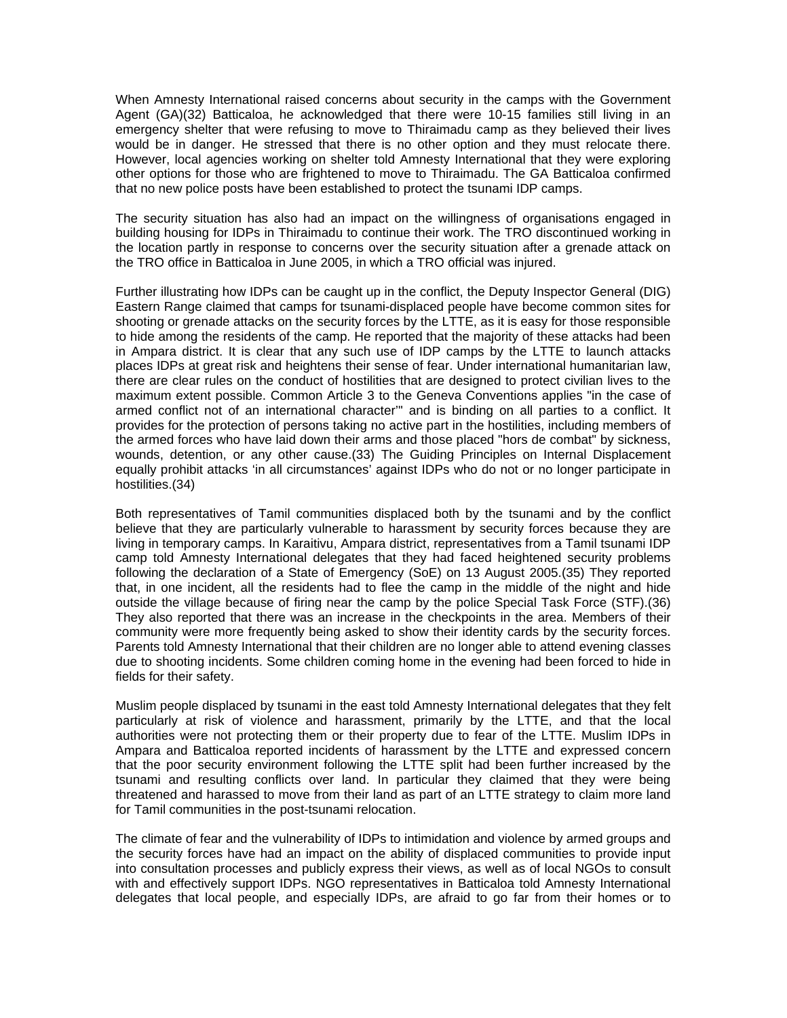When Amnesty International raised concerns about security in the camps with the Government Agent (GA)(32) Batticaloa, he acknowledged that there were 10-15 families still living in an emergency shelter that were refusing to move to Thiraimadu camp as they believed their lives would be in danger. He stressed that there is no other option and they must relocate there. However, local agencies working on shelter told Amnesty International that they were exploring other options for those who are frightened to move to Thiraimadu. The GA Batticaloa confirmed that no new police posts have been established to protect the tsunami IDP camps.

The security situation has also had an impact on the willingness of organisations engaged in building housing for IDPs in Thiraimadu to continue their work. The TRO discontinued working in the location partly in response to concerns over the security situation after a grenade attack on the TRO office in Batticaloa in June 2005, in which a TRO official was injured.

Further illustrating how IDPs can be caught up in the conflict, the Deputy Inspector General (DIG) Eastern Range claimed that camps for tsunami-displaced people have become common sites for shooting or grenade attacks on the security forces by the LTTE, as it is easy for those responsible to hide among the residents of the camp. He reported that the majority of these attacks had been in Ampara district. It is clear that any such use of IDP camps by the LTTE to launch attacks places IDPs at great risk and heightens their sense of fear. Under international humanitarian law, there are clear rules on the conduct of hostilities that are designed to protect civilian lives to the maximum extent possible. Common Article 3 to the Geneva Conventions applies "in the case of armed conflict not of an international character'" and is binding on all parties to a conflict. It provides for the protection of persons taking no active part in the hostilities, including members of the armed forces who have laid down their arms and those placed "hors de combat" by sickness, wounds, detention, or any other cause.(33) The Guiding Principles on Internal Displacement equally prohibit attacks 'in all circumstances' against IDPs who do not or no longer participate in hostilities.(34)

Both representatives of Tamil communities displaced both by the tsunami and by the conflict believe that they are particularly vulnerable to harassment by security forces because they are living in temporary camps. In Karaitivu, Ampara district, representatives from a Tamil tsunami IDP camp told Amnesty International delegates that they had faced heightened security problems following the declaration of a State of Emergency (SoE) on 13 August 2005.(35) They reported that, in one incident, all the residents had to flee the camp in the middle of the night and hide outside the village because of firing near the camp by the police Special Task Force (STF).(36) They also reported that there was an increase in the checkpoints in the area. Members of their community were more frequently being asked to show their identity cards by the security forces. Parents told Amnesty International that their children are no longer able to attend evening classes due to shooting incidents. Some children coming home in the evening had been forced to hide in fields for their safety.

Muslim people displaced by tsunami in the east told Amnesty International delegates that they felt particularly at risk of violence and harassment, primarily by the LTTE, and that the local authorities were not protecting them or their property due to fear of the LTTE. Muslim IDPs in Ampara and Batticaloa reported incidents of harassment by the LTTE and expressed concern that the poor security environment following the LTTE split had been further increased by the tsunami and resulting conflicts over land. In particular they claimed that they were being threatened and harassed to move from their land as part of an LTTE strategy to claim more land for Tamil communities in the post-tsunami relocation.

The climate of fear and the vulnerability of IDPs to intimidation and violence by armed groups and the security forces have had an impact on the ability of displaced communities to provide input into consultation processes and publicly express their views, as well as of local NGOs to consult with and effectively support IDPs. NGO representatives in Batticaloa told Amnesty International delegates that local people, and especially IDPs, are afraid to go far from their homes or to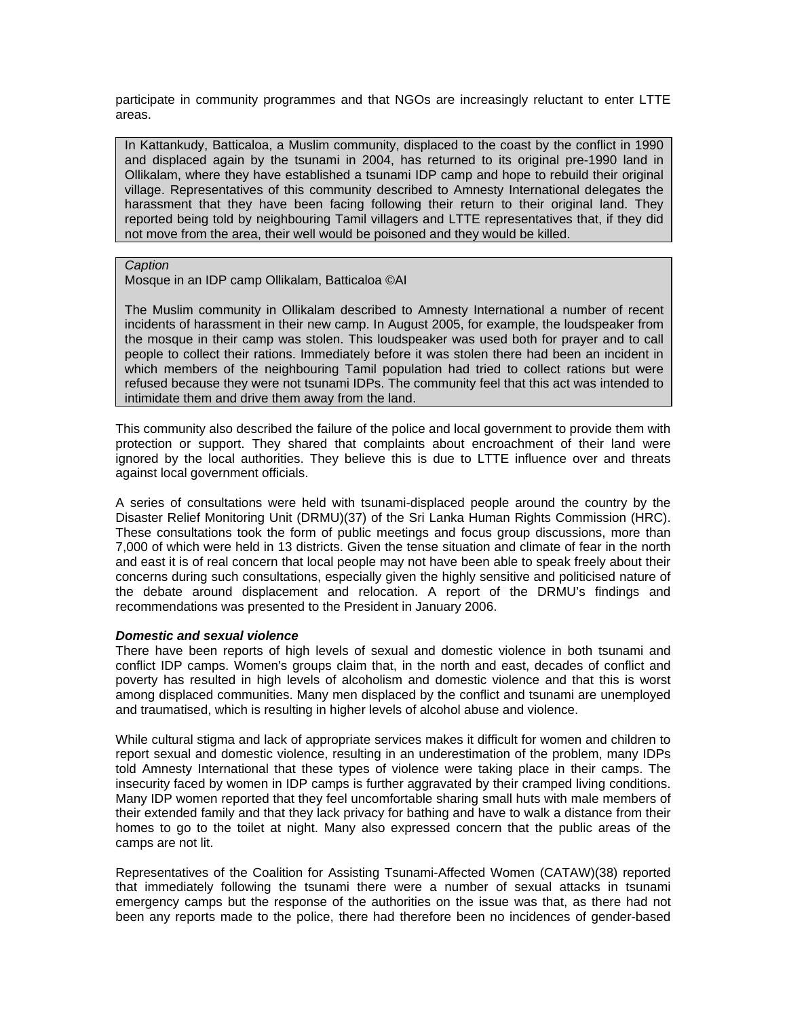participate in community programmes and that NGOs are increasingly reluctant to enter LTTE areas.

In Kattankudy, Batticaloa, a Muslim community, displaced to the coast by the conflict in 1990 and displaced again by the tsunami in 2004, has returned to its original pre-1990 land in Ollikalam, where they have established a tsunami IDP camp and hope to rebuild their original village. Representatives of this community described to Amnesty International delegates the harassment that they have been facing following their return to their original land. They reported being told by neighbouring Tamil villagers and LTTE representatives that, if they did not move from the area, their well would be poisoned and they would be killed.

#### *Caption*

Mosque in an IDP camp Ollikalam, Batticaloa ©AI

The Muslim community in Ollikalam described to Amnesty International a number of recent incidents of harassment in their new camp. In August 2005, for example, the loudspeaker from the mosque in their camp was stolen. This loudspeaker was used both for prayer and to call people to collect their rations. Immediately before it was stolen there had been an incident in which members of the neighbouring Tamil population had tried to collect rations but were refused because they were not tsunami IDPs. The community feel that this act was intended to intimidate them and drive them away from the land.

This community also described the failure of the police and local government to provide them with protection or support. They shared that complaints about encroachment of their land were ignored by the local authorities. They believe this is due to LTTE influence over and threats against local government officials.

A series of consultations were held with tsunami-displaced people around the country by the Disaster Relief Monitoring Unit (DRMU)(37) of the Sri Lanka Human Rights Commission (HRC). These consultations took the form of public meetings and focus group discussions, more than 7,000 of which were held in 13 districts. Given the tense situation and climate of fear in the north and east it is of real concern that local people may not have been able to speak freely about their concerns during such consultations, especially given the highly sensitive and politicised nature of the debate around displacement and relocation. A report of the DRMU's findings and recommendations was presented to the President in January 2006.

## *Domestic and sexual violence*

There have been reports of high levels of sexual and domestic violence in both tsunami and conflict IDP camps. Women's groups claim that, in the north and east, decades of conflict and poverty has resulted in high levels of alcoholism and domestic violence and that this is worst among displaced communities. Many men displaced by the conflict and tsunami are unemployed and traumatised, which is resulting in higher levels of alcohol abuse and violence.

While cultural stigma and lack of appropriate services makes it difficult for women and children to report sexual and domestic violence, resulting in an underestimation of the problem, many IDPs told Amnesty International that these types of violence were taking place in their camps. The insecurity faced by women in IDP camps is further aggravated by their cramped living conditions. Many IDP women reported that they feel uncomfortable sharing small huts with male members of their extended family and that they lack privacy for bathing and have to walk a distance from their homes to go to the toilet at night. Many also expressed concern that the public areas of the camps are not lit.

Representatives of the Coalition for Assisting Tsunami-Affected Women (CATAW)(38) reported that immediately following the tsunami there were a number of sexual attacks in tsunami emergency camps but the response of the authorities on the issue was that, as there had not been any reports made to the police, there had therefore been no incidences of gender-based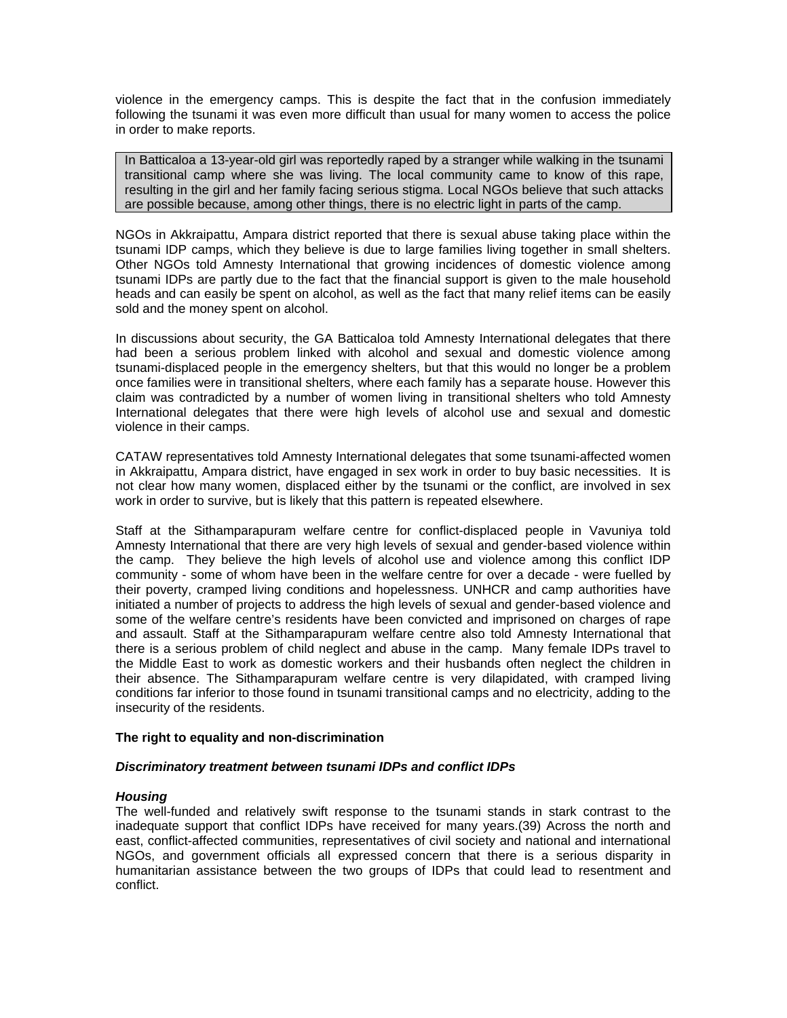violence in the emergency camps. This is despite the fact that in the confusion immediately following the tsunami it was even more difficult than usual for many women to access the police in order to make reports.

In Batticaloa a 13-year-old girl was reportedly raped by a stranger while walking in the tsunami transitional camp where she was living. The local community came to know of this rape, resulting in the girl and her family facing serious stigma. Local NGOs believe that such attacks are possible because, among other things, there is no electric light in parts of the camp.

NGOs in Akkraipattu, Ampara district reported that there is sexual abuse taking place within the tsunami IDP camps, which they believe is due to large families living together in small shelters. Other NGOs told Amnesty International that growing incidences of domestic violence among tsunami IDPs are partly due to the fact that the financial support is given to the male household heads and can easily be spent on alcohol, as well as the fact that many relief items can be easily sold and the money spent on alcohol.

In discussions about security, the GA Batticaloa told Amnesty International delegates that there had been a serious problem linked with alcohol and sexual and domestic violence among tsunami-displaced people in the emergency shelters, but that this would no longer be a problem once families were in transitional shelters, where each family has a separate house. However this claim was contradicted by a number of women living in transitional shelters who told Amnesty International delegates that there were high levels of alcohol use and sexual and domestic violence in their camps.

CATAW representatives told Amnesty International delegates that some tsunami-affected women in Akkraipattu, Ampara district, have engaged in sex work in order to buy basic necessities. It is not clear how many women, displaced either by the tsunami or the conflict, are involved in sex work in order to survive, but is likely that this pattern is repeated elsewhere.

Staff at the Sithamparapuram welfare centre for conflict-displaced people in Vavuniya told Amnesty International that there are very high levels of sexual and gender-based violence within the camp. They believe the high levels of alcohol use and violence among this conflict IDP community - some of whom have been in the welfare centre for over a decade - were fuelled by their poverty, cramped living conditions and hopelessness. UNHCR and camp authorities have initiated a number of projects to address the high levels of sexual and gender-based violence and some of the welfare centre's residents have been convicted and imprisoned on charges of rape and assault. Staff at the Sithamparapuram welfare centre also told Amnesty International that there is a serious problem of child neglect and abuse in the camp. Many female IDPs travel to the Middle East to work as domestic workers and their husbands often neglect the children in their absence. The Sithamparapuram welfare centre is very dilapidated, with cramped living conditions far inferior to those found in tsunami transitional camps and no electricity, adding to the insecurity of the residents.

## **The right to equality and non-discrimination**

## *Discriminatory treatment between tsunami IDPs and conflict IDPs*

## *Housing*

The well-funded and relatively swift response to the tsunami stands in stark contrast to the inadequate support that conflict IDPs have received for many years.(39) Across the north and east, conflict-affected communities, representatives of civil society and national and international NGOs, and government officials all expressed concern that there is a serious disparity in humanitarian assistance between the two groups of IDPs that could lead to resentment and conflict.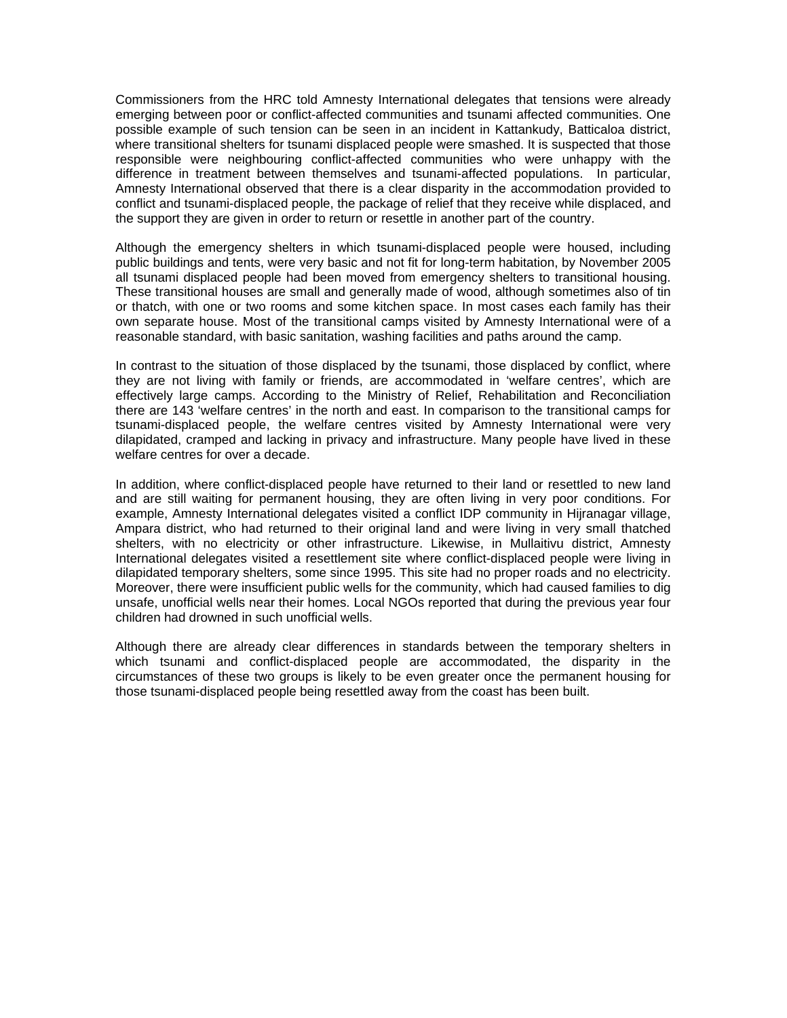Commissioners from the HRC told Amnesty International delegates that tensions were already emerging between poor or conflict-affected communities and tsunami affected communities. One possible example of such tension can be seen in an incident in Kattankudy, Batticaloa district, where transitional shelters for tsunami displaced people were smashed. It is suspected that those responsible were neighbouring conflict-affected communities who were unhappy with the difference in treatment between themselves and tsunami-affected populations. In particular, Amnesty International observed that there is a clear disparity in the accommodation provided to conflict and tsunami-displaced people, the package of relief that they receive while displaced, and the support they are given in order to return or resettle in another part of the country.

Although the emergency shelters in which tsunami-displaced people were housed, including public buildings and tents, were very basic and not fit for long-term habitation, by November 2005 all tsunami displaced people had been moved from emergency shelters to transitional housing. These transitional houses are small and generally made of wood, although sometimes also of tin or thatch, with one or two rooms and some kitchen space. In most cases each family has their own separate house. Most of the transitional camps visited by Amnesty International were of a reasonable standard, with basic sanitation, washing facilities and paths around the camp.

In contrast to the situation of those displaced by the tsunami, those displaced by conflict, where they are not living with family or friends, are accommodated in 'welfare centres', which are effectively large camps. According to the Ministry of Relief, Rehabilitation and Reconciliation there are 143 'welfare centres' in the north and east. In comparison to the transitional camps for tsunami-displaced people, the welfare centres visited by Amnesty International were very dilapidated, cramped and lacking in privacy and infrastructure. Many people have lived in these welfare centres for over a decade.

In addition, where conflict-displaced people have returned to their land or resettled to new land and are still waiting for permanent housing, they are often living in very poor conditions. For example, Amnesty International delegates visited a conflict IDP community in Hijranagar village, Ampara district, who had returned to their original land and were living in very small thatched shelters, with no electricity or other infrastructure. Likewise, in Mullaitivu district, Amnesty International delegates visited a resettlement site where conflict-displaced people were living in dilapidated temporary shelters, some since 1995. This site had no proper roads and no electricity. Moreover, there were insufficient public wells for the community, which had caused families to dig unsafe, unofficial wells near their homes. Local NGOs reported that during the previous year four children had drowned in such unofficial wells.

Although there are already clear differences in standards between the temporary shelters in which tsunami and conflict-displaced people are accommodated, the disparity in the circumstances of these two groups is likely to be even greater once the permanent housing for those tsunami-displaced people being resettled away from the coast has been built.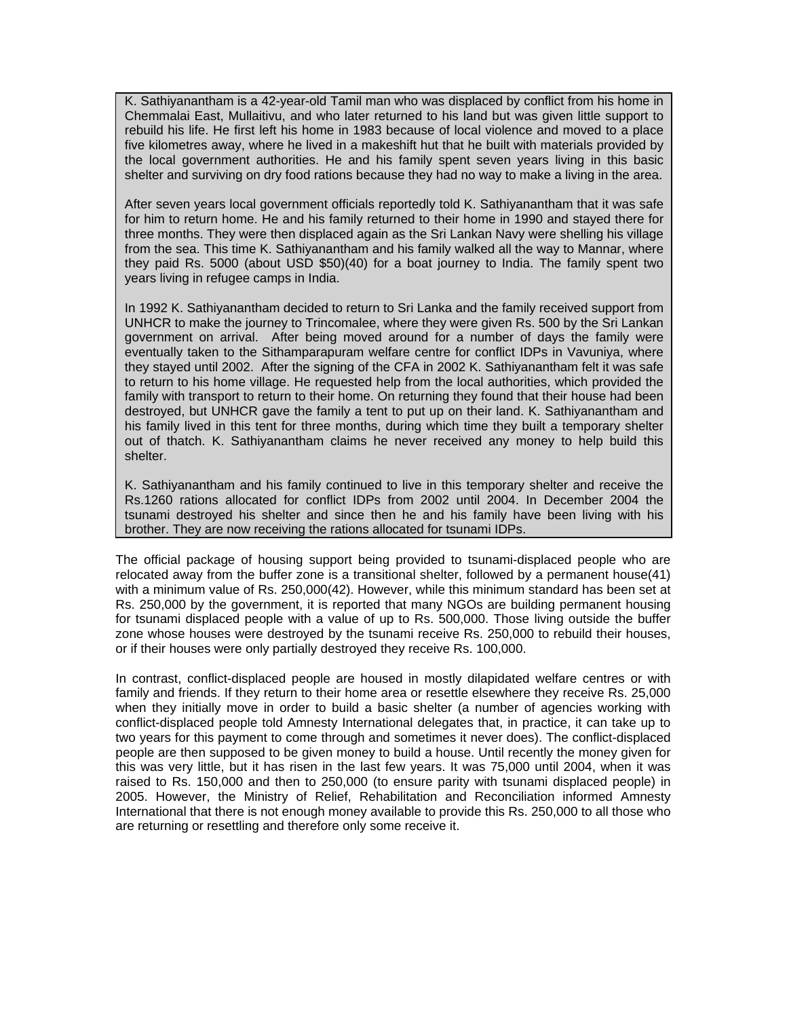K. Sathiyanantham is a 42-year-old Tamil man who was displaced by conflict from his home in Chemmalai East, Mullaitivu, and who later returned to his land but was given little support to rebuild his life. He first left his home in 1983 because of local violence and moved to a place five kilometres away, where he lived in a makeshift hut that he built with materials provided by the local government authorities. He and his family spent seven years living in this basic shelter and surviving on dry food rations because they had no way to make a living in the area.

After seven years local government officials reportedly told K. Sathiyanantham that it was safe for him to return home. He and his family returned to their home in 1990 and stayed there for three months. They were then displaced again as the Sri Lankan Navy were shelling his village from the sea. This time K. Sathiyanantham and his family walked all the way to Mannar, where they paid Rs. 5000 (about USD \$50)(40) for a boat journey to India. The family spent two years living in refugee camps in India.

In 1992 K. Sathiyanantham decided to return to Sri Lanka and the family received support from UNHCR to make the journey to Trincomalee, where they were given Rs. 500 by the Sri Lankan government on arrival. After being moved around for a number of days the family were eventually taken to the Sithamparapuram welfare centre for conflict IDPs in Vavuniya, where they stayed until 2002. After the signing of the CFA in 2002 K. Sathiyanantham felt it was safe to return to his home village. He requested help from the local authorities, which provided the family with transport to return to their home. On returning they found that their house had been destroyed, but UNHCR gave the family a tent to put up on their land. K. Sathiyanantham and his family lived in this tent for three months, during which time they built a temporary shelter out of thatch. K. Sathiyanantham claims he never received any money to help build this shelter.

K. Sathiyanantham and his family continued to live in this temporary shelter and receive the Rs.1260 rations allocated for conflict IDPs from 2002 until 2004. In December 2004 the tsunami destroyed his shelter and since then he and his family have been living with his brother. They are now receiving the rations allocated for tsunami IDPs.

The official package of housing support being provided to tsunami-displaced people who are relocated away from the buffer zone is a transitional shelter, followed by a permanent house(41) with a minimum value of Rs. 250,000(42). However, while this minimum standard has been set at Rs. 250,000 by the government, it is reported that many NGOs are building permanent housing for tsunami displaced people with a value of up to Rs. 500,000. Those living outside the buffer zone whose houses were destroyed by the tsunami receive Rs. 250,000 to rebuild their houses, or if their houses were only partially destroyed they receive Rs. 100,000.

In contrast, conflict-displaced people are housed in mostly dilapidated welfare centres or with family and friends. If they return to their home area or resettle elsewhere they receive Rs. 25,000 when they initially move in order to build a basic shelter (a number of agencies working with conflict-displaced people told Amnesty International delegates that, in practice, it can take up to two years for this payment to come through and sometimes it never does). The conflict-displaced people are then supposed to be given money to build a house. Until recently the money given for this was very little, but it has risen in the last few years. It was 75,000 until 2004, when it was raised to Rs. 150,000 and then to 250,000 (to ensure parity with tsunami displaced people) in 2005. However, the Ministry of Relief, Rehabilitation and Reconciliation informed Amnesty International that there is not enough money available to provide this Rs. 250,000 to all those who are returning or resettling and therefore only some receive it.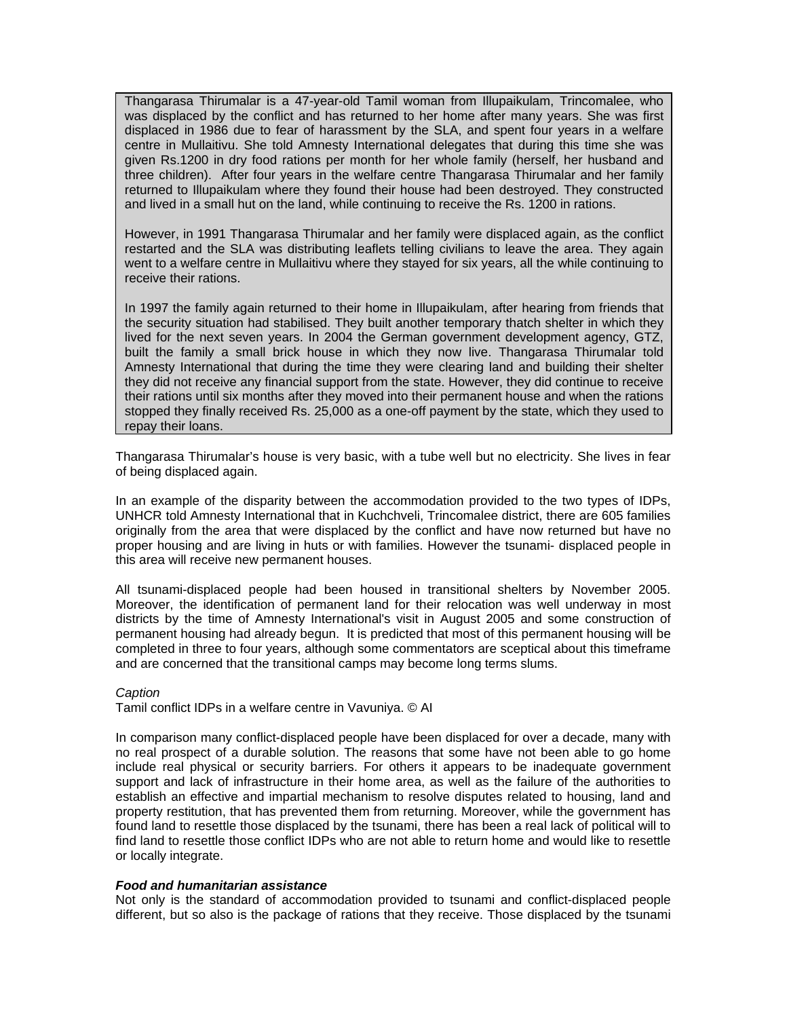Thangarasa Thirumalar is a 47-year-old Tamil woman from Illupaikulam, Trincomalee, who was displaced by the conflict and has returned to her home after many years. She was first displaced in 1986 due to fear of harassment by the SLA, and spent four years in a welfare centre in Mullaitivu. She told Amnesty International delegates that during this time she was given Rs.1200 in dry food rations per month for her whole family (herself, her husband and three children). After four years in the welfare centre Thangarasa Thirumalar and her family returned to Illupaikulam where they found their house had been destroyed. They constructed and lived in a small hut on the land, while continuing to receive the Rs. 1200 in rations.

However, in 1991 Thangarasa Thirumalar and her family were displaced again, as the conflict restarted and the SLA was distributing leaflets telling civilians to leave the area. They again went to a welfare centre in Mullaitivu where they stayed for six years, all the while continuing to receive their rations.

In 1997 the family again returned to their home in Illupaikulam, after hearing from friends that the security situation had stabilised. They built another temporary thatch shelter in which they lived for the next seven years. In 2004 the German government development agency, GTZ, built the family a small brick house in which they now live. Thangarasa Thirumalar told Amnesty International that during the time they were clearing land and building their shelter they did not receive any financial support from the state. However, they did continue to receive their rations until six months after they moved into their permanent house and when the rations stopped they finally received Rs. 25,000 as a one-off payment by the state, which they used to repay their loans.

Thangarasa Thirumalar's house is very basic, with a tube well but no electricity. She lives in fear of being displaced again.

In an example of the disparity between the accommodation provided to the two types of IDPs, UNHCR told Amnesty International that in Kuchchveli, Trincomalee district, there are 605 families originally from the area that were displaced by the conflict and have now returned but have no proper housing and are living in huts or with families. However the tsunami- displaced people in this area will receive new permanent houses.

All tsunami-displaced people had been housed in transitional shelters by November 2005. Moreover, the identification of permanent land for their relocation was well underway in most districts by the time of Amnesty International's visit in August 2005 and some construction of permanent housing had already begun. It is predicted that most of this permanent housing will be completed in three to four years, although some commentators are sceptical about this timeframe and are concerned that the transitional camps may become long terms slums.

## *Caption*

Tamil conflict IDPs in a welfare centre in Vavuniya. © AI

In comparison many conflict-displaced people have been displaced for over a decade, many with no real prospect of a durable solution. The reasons that some have not been able to go home include real physical or security barriers. For others it appears to be inadequate government support and lack of infrastructure in their home area, as well as the failure of the authorities to establish an effective and impartial mechanism to resolve disputes related to housing, land and property restitution, that has prevented them from returning. Moreover, while the government has found land to resettle those displaced by the tsunami, there has been a real lack of political will to find land to resettle those conflict IDPs who are not able to return home and would like to resettle or locally integrate.

#### *Food and humanitarian assistance*

Not only is the standard of accommodation provided to tsunami and conflict-displaced people different, but so also is the package of rations that they receive. Those displaced by the tsunami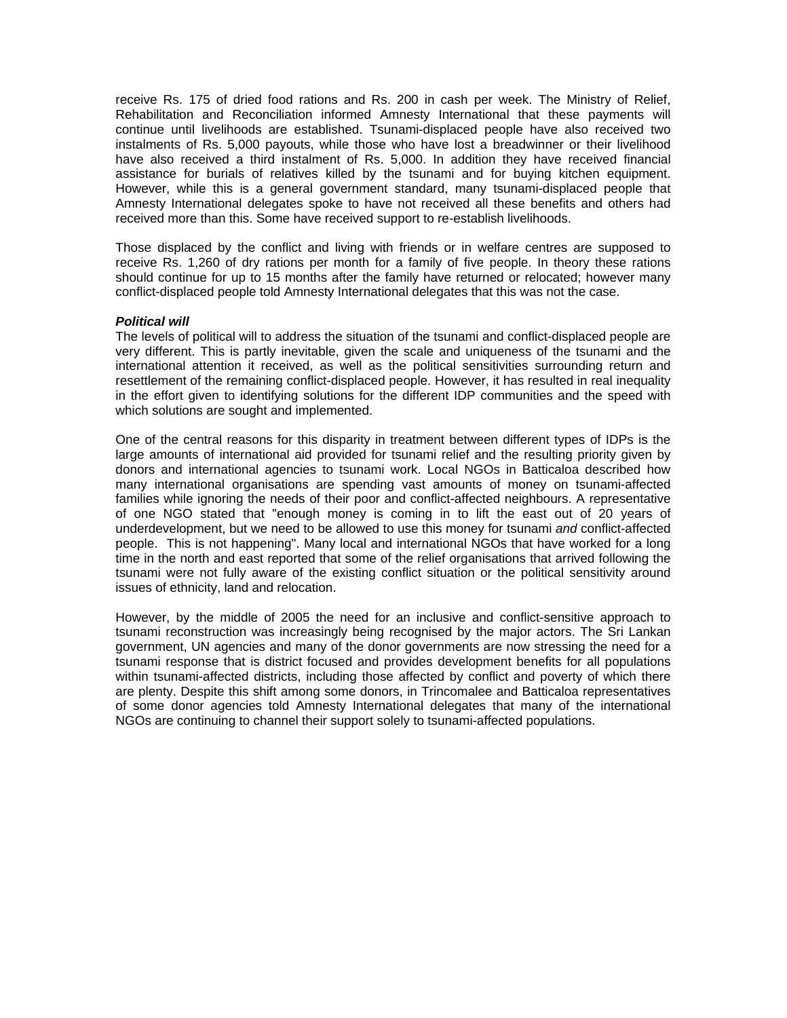receive Rs. 175 of dried food rations and Rs. 200 in cash per week. The Ministry of Relief, Rehabilitation and Reconciliation informed Amnesty International that these payments will continue until livelihoods are established. Tsunami-displaced people have also received two instalments of Rs. 5,000 payouts, while those who have lost a breadwinner or their livelihood have also received a third instalment of Rs. 5,000. In addition they have received financial assistance for burials of relatives killed by the tsunami and for buying kitchen equipment. However, while this is a general government standard, many tsunami-displaced people that Amnesty International delegates spoke to have not received all these benefits and others had received more than this. Some have received support to re-establish livelihoods.

Those displaced by the conflict and living with friends or in welfare centres are supposed to receive Rs. 1,260 of dry rations per month for a family of five people. In theory these rations should continue for up to 15 months after the family have returned or relocated; however many conflict-displaced people told Amnesty International delegates that this was not the case.

#### *Political will*

The levels of political will to address the situation of the tsunami and conflict-displaced people are very different. This is partly inevitable, given the scale and uniqueness of the tsunami and the international attention it received, as well as the political sensitivities surrounding return and resettlement of the remaining conflict-displaced people. However, it has resulted in real inequality in the effort given to identifying solutions for the different IDP communities and the speed with which solutions are sought and implemented.

One of the central reasons for this disparity in treatment between different types of IDPs is the large amounts of international aid provided for tsunami relief and the resulting priority given by donors and international agencies to tsunami work. Local NGOs in Batticaloa described how many international organisations are spending vast amounts of money on tsunami-affected families while ignoring the needs of their poor and conflict-affected neighbours. A representative of one NGO stated that "enough money is coming in to lift the east out of 20 years of underdevelopment, but we need to be allowed to use this money for tsunami *and* conflict-affected people. This is not happening". Many local and international NGOs that have worked for a long time in the north and east reported that some of the relief organisations that arrived following the tsunami were not fully aware of the existing conflict situation or the political sensitivity around issues of ethnicity, land and relocation.

However, by the middle of 2005 the need for an inclusive and conflict-sensitive approach to tsunami reconstruction was increasingly being recognised by the major actors. The Sri Lankan government, UN agencies and many of the donor governments are now stressing the need for a tsunami response that is district focused and provides development benefits for all populations within tsunami-affected districts, including those affected by conflict and poverty of which there are plenty. Despite this shift among some donors, in Trincomalee and Batticaloa representatives of some donor agencies told Amnesty International delegates that many of the international NGOs are continuing to channel their support solely to tsunami-affected populations.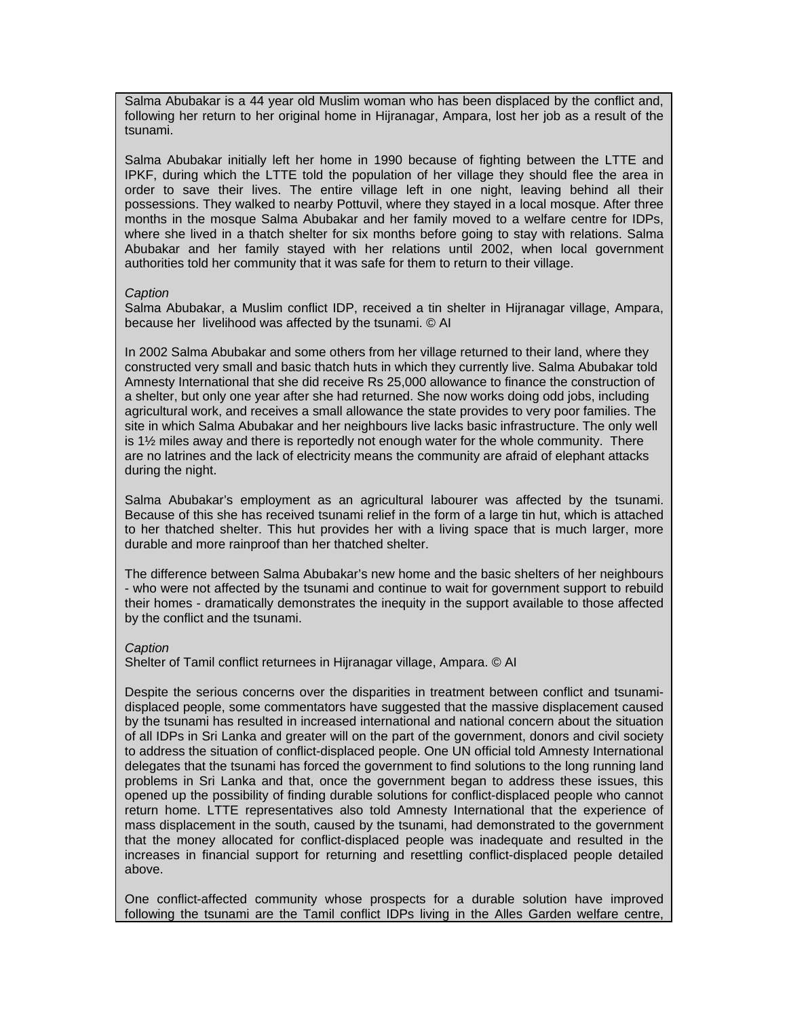Salma Abubakar is a 44 year old Muslim woman who has been displaced by the conflict and, following her return to her original home in Hijranagar, Ampara, lost her job as a result of the tsunami.

Salma Abubakar initially left her home in 1990 because of fighting between the LTTE and IPKF, during which the LTTE told the population of her village they should flee the area in order to save their lives. The entire village left in one night, leaving behind all their possessions. They walked to nearby Pottuvil, where they stayed in a local mosque. After three months in the mosque Salma Abubakar and her family moved to a welfare centre for IDPs, where she lived in a thatch shelter for six months before going to stay with relations. Salma Abubakar and her family stayed with her relations until 2002, when local government authorities told her community that it was safe for them to return to their village.

## *Caption*

Salma Abubakar, a Muslim conflict IDP, received a tin shelter in Hijranagar village, Ampara, because her livelihood was affected by the tsunami. © AI

In 2002 Salma Abubakar and some others from her village returned to their land, where they constructed very small and basic thatch huts in which they currently live. Salma Abubakar told Amnesty International that she did receive Rs 25,000 allowance to finance the construction of a shelter, but only one year after she had returned. She now works doing odd jobs, including agricultural work, and receives a small allowance the state provides to very poor families. The site in which Salma Abubakar and her neighbours live lacks basic infrastructure. The only well is 1½ miles away and there is reportedly not enough water for the whole community. There are no latrines and the lack of electricity means the community are afraid of elephant attacks during the night.

Salma Abubakar's employment as an agricultural labourer was affected by the tsunami. Because of this she has received tsunami relief in the form of a large tin hut, which is attached to her thatched shelter. This hut provides her with a living space that is much larger, more durable and more rainproof than her thatched shelter.

The difference between Salma Abubakar's new home and the basic shelters of her neighbours - who were not affected by the tsunami and continue to wait for government support to rebuild their homes - dramatically demonstrates the inequity in the support available to those affected by the conflict and the tsunami.

## *Caption*

Shelter of Tamil conflict returnees in Hijranagar village, Ampara. © AI

Despite the serious concerns over the disparities in treatment between conflict and tsunamidisplaced people, some commentators have suggested that the massive displacement caused by the tsunami has resulted in increased international and national concern about the situation of all IDPs in Sri Lanka and greater will on the part of the government, donors and civil society to address the situation of conflict-displaced people. One UN official told Amnesty International delegates that the tsunami has forced the government to find solutions to the long running land problems in Sri Lanka and that, once the government began to address these issues, this opened up the possibility of finding durable solutions for conflict-displaced people who cannot return home. LTTE representatives also told Amnesty International that the experience of mass displacement in the south, caused by the tsunami, had demonstrated to the government that the money allocated for conflict-displaced people was inadequate and resulted in the increases in financial support for returning and resettling conflict-displaced people detailed above.

One conflict-affected community whose prospects for a durable solution have improved following the tsunami are the Tamil conflict IDPs living in the Alles Garden welfare centre,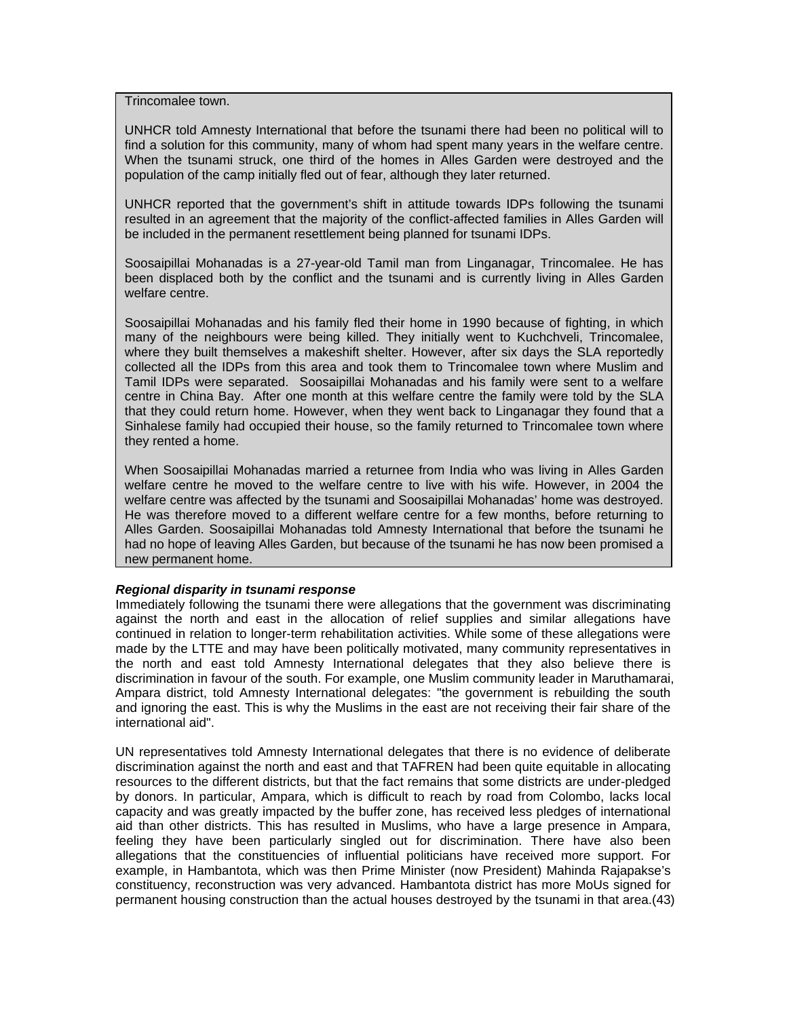Trincomalee town.

UNHCR told Amnesty International that before the tsunami there had been no political will to find a solution for this community, many of whom had spent many years in the welfare centre. When the tsunami struck, one third of the homes in Alles Garden were destroyed and the population of the camp initially fled out of fear, although they later returned.

UNHCR reported that the government's shift in attitude towards IDPs following the tsunami resulted in an agreement that the majority of the conflict-affected families in Alles Garden will be included in the permanent resettlement being planned for tsunami IDPs.

Soosaipillai Mohanadas is a 27-year-old Tamil man from Linganagar, Trincomalee. He has been displaced both by the conflict and the tsunami and is currently living in Alles Garden welfare centre.

Soosaipillai Mohanadas and his family fled their home in 1990 because of fighting, in which many of the neighbours were being killed. They initially went to Kuchchveli, Trincomalee, where they built themselves a makeshift shelter. However, after six days the SLA reportedly collected all the IDPs from this area and took them to Trincomalee town where Muslim and Tamil IDPs were separated. Soosaipillai Mohanadas and his family were sent to a welfare centre in China Bay. After one month at this welfare centre the family were told by the SLA that they could return home. However, when they went back to Linganagar they found that a Sinhalese family had occupied their house, so the family returned to Trincomalee town where they rented a home.

When Soosaipillai Mohanadas married a returnee from India who was living in Alles Garden welfare centre he moved to the welfare centre to live with his wife. However, in 2004 the welfare centre was affected by the tsunami and Soosaipillai Mohanadas' home was destroyed. He was therefore moved to a different welfare centre for a few months, before returning to Alles Garden. Soosaipillai Mohanadas told Amnesty International that before the tsunami he had no hope of leaving Alles Garden, but because of the tsunami he has now been promised a new permanent home.

#### *Regional disparity in tsunami response*

Immediately following the tsunami there were allegations that the government was discriminating against the north and east in the allocation of relief supplies and similar allegations have continued in relation to longer-term rehabilitation activities. While some of these allegations were made by the LTTE and may have been politically motivated, many community representatives in the north and east told Amnesty International delegates that they also believe there is discrimination in favour of the south. For example, one Muslim community leader in Maruthamarai, Ampara district, told Amnesty International delegates: "the government is rebuilding the south and ignoring the east. This is why the Muslims in the east are not receiving their fair share of the international aid".

UN representatives told Amnesty International delegates that there is no evidence of deliberate discrimination against the north and east and that TAFREN had been quite equitable in allocating resources to the different districts, but that the fact remains that some districts are under-pledged by donors. In particular, Ampara, which is difficult to reach by road from Colombo, lacks local capacity and was greatly impacted by the buffer zone, has received less pledges of international aid than other districts. This has resulted in Muslims, who have a large presence in Ampara, feeling they have been particularly singled out for discrimination. There have also been allegations that the constituencies of influential politicians have received more support. For example, in Hambantota, which was then Prime Minister (now President) Mahinda Rajapakse's constituency, reconstruction was very advanced. Hambantota district has more MoUs signed for permanent housing construction than the actual houses destroyed by the tsunami in that area.(43)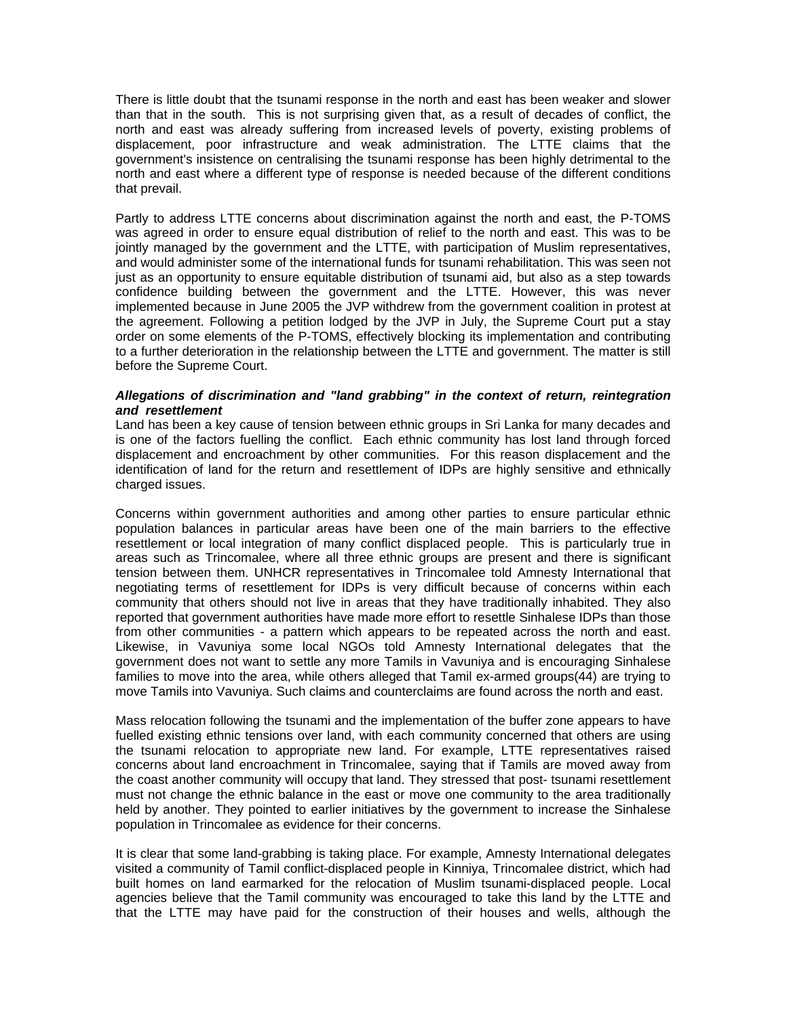There is little doubt that the tsunami response in the north and east has been weaker and slower than that in the south. This is not surprising given that, as a result of decades of conflict, the north and east was already suffering from increased levels of poverty, existing problems of displacement, poor infrastructure and weak administration. The LTTE claims that the government's insistence on centralising the tsunami response has been highly detrimental to the north and east where a different type of response is needed because of the different conditions that prevail.

Partly to address LTTE concerns about discrimination against the north and east, the P-TOMS was agreed in order to ensure equal distribution of relief to the north and east. This was to be jointly managed by the government and the LTTE, with participation of Muslim representatives, and would administer some of the international funds for tsunami rehabilitation. This was seen not just as an opportunity to ensure equitable distribution of tsunami aid, but also as a step towards confidence building between the government and the LTTE. However, this was never implemented because in June 2005 the JVP withdrew from the government coalition in protest at the agreement. Following a petition lodged by the JVP in July, the Supreme Court put a stay order on some elements of the P-TOMS, effectively blocking its implementation and contributing to a further deterioration in the relationship between the LTTE and government. The matter is still before the Supreme Court.

## *Allegations of discrimination and "land grabbing" in the context of return, reintegration and resettlement*

Land has been a key cause of tension between ethnic groups in Sri Lanka for many decades and is one of the factors fuelling the conflict. Each ethnic community has lost land through forced displacement and encroachment by other communities. For this reason displacement and the identification of land for the return and resettlement of IDPs are highly sensitive and ethnically charged issues.

Concerns within government authorities and among other parties to ensure particular ethnic population balances in particular areas have been one of the main barriers to the effective resettlement or local integration of many conflict displaced people. This is particularly true in areas such as Trincomalee, where all three ethnic groups are present and there is significant tension between them. UNHCR representatives in Trincomalee told Amnesty International that negotiating terms of resettlement for IDPs is very difficult because of concerns within each community that others should not live in areas that they have traditionally inhabited. They also reported that government authorities have made more effort to resettle Sinhalese IDPs than those from other communities - a pattern which appears to be repeated across the north and east. Likewise, in Vavuniya some local NGOs told Amnesty International delegates that the government does not want to settle any more Tamils in Vavuniya and is encouraging Sinhalese families to move into the area, while others alleged that Tamil ex-armed groups(44) are trying to move Tamils into Vavuniya. Such claims and counterclaims are found across the north and east.

Mass relocation following the tsunami and the implementation of the buffer zone appears to have fuelled existing ethnic tensions over land, with each community concerned that others are using the tsunami relocation to appropriate new land. For example, LTTE representatives raised concerns about land encroachment in Trincomalee, saying that if Tamils are moved away from the coast another community will occupy that land. They stressed that post- tsunami resettlement must not change the ethnic balance in the east or move one community to the area traditionally held by another. They pointed to earlier initiatives by the government to increase the Sinhalese population in Trincomalee as evidence for their concerns.

It is clear that some land-grabbing is taking place. For example, Amnesty International delegates visited a community of Tamil conflict-displaced people in Kinniya, Trincomalee district, which had built homes on land earmarked for the relocation of Muslim tsunami-displaced people. Local agencies believe that the Tamil community was encouraged to take this land by the LTTE and that the LTTE may have paid for the construction of their houses and wells, although the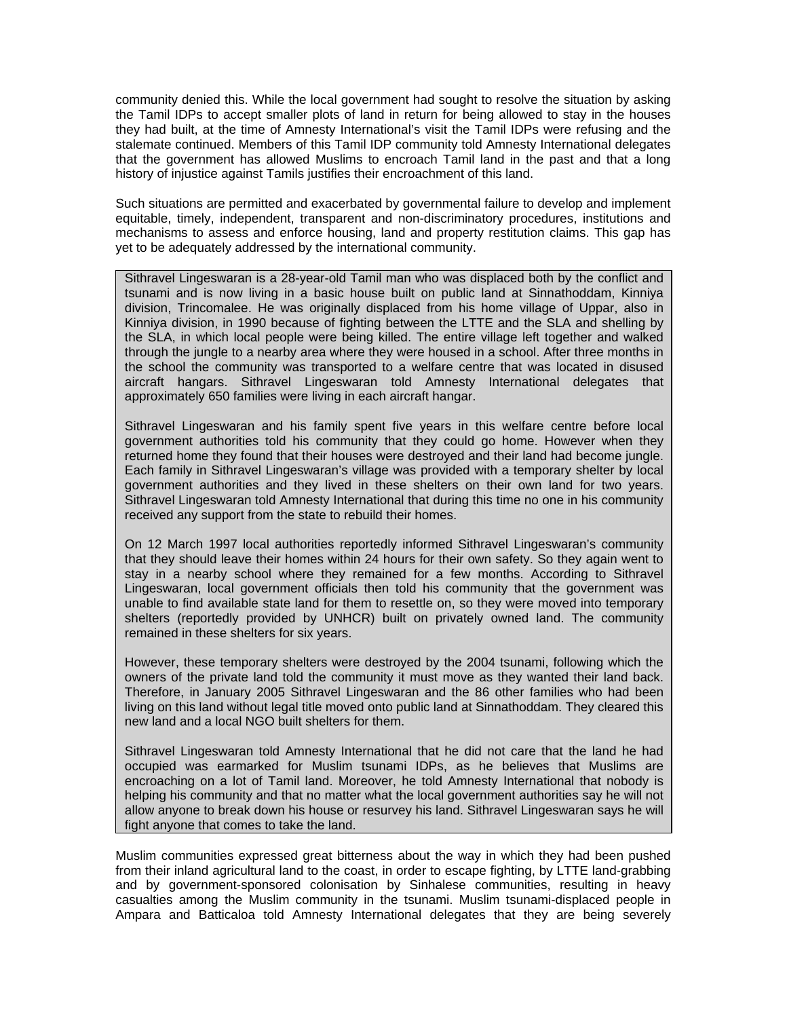community denied this. While the local government had sought to resolve the situation by asking the Tamil IDPs to accept smaller plots of land in return for being allowed to stay in the houses they had built, at the time of Amnesty International's visit the Tamil IDPs were refusing and the stalemate continued. Members of this Tamil IDP community told Amnesty International delegates that the government has allowed Muslims to encroach Tamil land in the past and that a long history of injustice against Tamils justifies their encroachment of this land.

Such situations are permitted and exacerbated by governmental failure to develop and implement equitable, timely, independent, transparent and non-discriminatory procedures, institutions and mechanisms to assess and enforce housing, land and property restitution claims. This gap has yet to be adequately addressed by the international community.

Sithravel Lingeswaran is a 28-year-old Tamil man who was displaced both by the conflict and tsunami and is now living in a basic house built on public land at Sinnathoddam, Kinniya division, Trincomalee. He was originally displaced from his home village of Uppar, also in Kinniya division, in 1990 because of fighting between the LTTE and the SLA and shelling by the SLA, in which local people were being killed. The entire village left together and walked through the jungle to a nearby area where they were housed in a school. After three months in the school the community was transported to a welfare centre that was located in disused aircraft hangars. Sithravel Lingeswaran told Amnesty International delegates that approximately 650 families were living in each aircraft hangar.

Sithravel Lingeswaran and his family spent five years in this welfare centre before local government authorities told his community that they could go home. However when they returned home they found that their houses were destroyed and their land had become jungle. Each family in Sithravel Lingeswaran's village was provided with a temporary shelter by local government authorities and they lived in these shelters on their own land for two years. Sithravel Lingeswaran told Amnesty International that during this time no one in his community received any support from the state to rebuild their homes.

On 12 March 1997 local authorities reportedly informed Sithravel Lingeswaran's community that they should leave their homes within 24 hours for their own safety. So they again went to stay in a nearby school where they remained for a few months. According to Sithravel Lingeswaran, local government officials then told his community that the government was unable to find available state land for them to resettle on, so they were moved into temporary shelters (reportedly provided by UNHCR) built on privately owned land. The community remained in these shelters for six years.

However, these temporary shelters were destroyed by the 2004 tsunami, following which the owners of the private land told the community it must move as they wanted their land back. Therefore, in January 2005 Sithravel Lingeswaran and the 86 other families who had been living on this land without legal title moved onto public land at Sinnathoddam. They cleared this new land and a local NGO built shelters for them.

Sithravel Lingeswaran told Amnesty International that he did not care that the land he had occupied was earmarked for Muslim tsunami IDPs, as he believes that Muslims are encroaching on a lot of Tamil land. Moreover, he told Amnesty International that nobody is helping his community and that no matter what the local government authorities say he will not allow anyone to break down his house or resurvey his land. Sithravel Lingeswaran says he will fight anyone that comes to take the land.

Muslim communities expressed great bitterness about the way in which they had been pushed from their inland agricultural land to the coast, in order to escape fighting, by LTTE land-grabbing and by government-sponsored colonisation by Sinhalese communities, resulting in heavy casualties among the Muslim community in the tsunami. Muslim tsunami-displaced people in Ampara and Batticaloa told Amnesty International delegates that they are being severely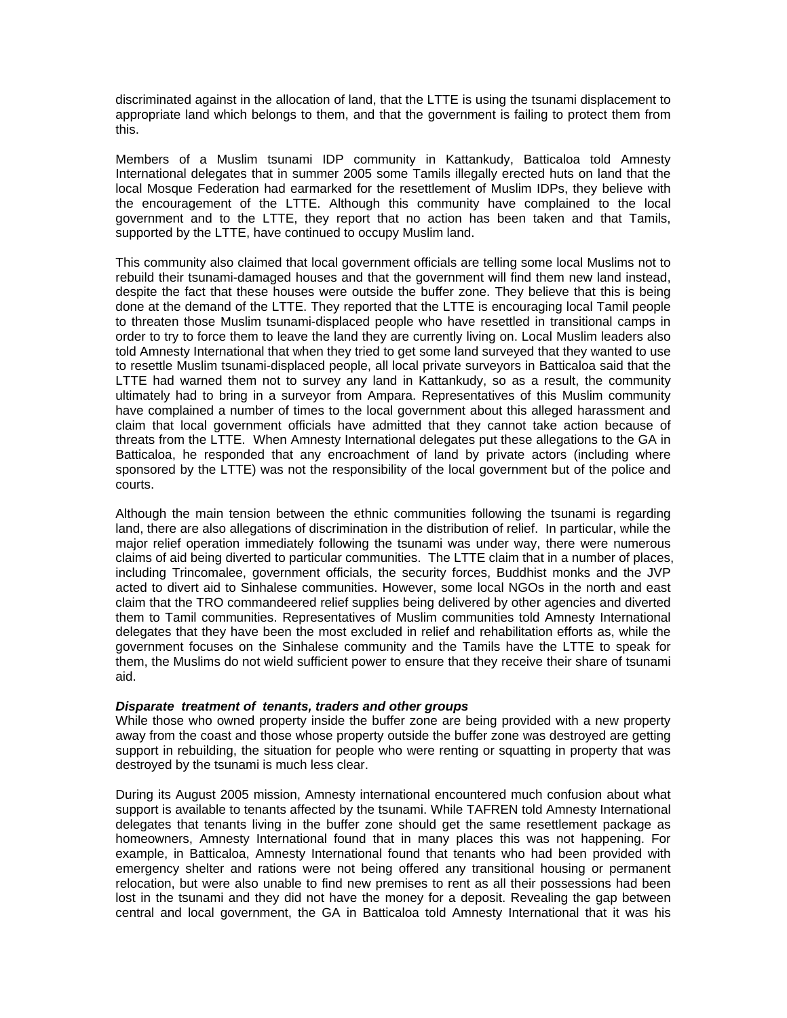discriminated against in the allocation of land, that the LTTE is using the tsunami displacement to appropriate land which belongs to them, and that the government is failing to protect them from this.

Members of a Muslim tsunami IDP community in Kattankudy, Batticaloa told Amnesty International delegates that in summer 2005 some Tamils illegally erected huts on land that the local Mosque Federation had earmarked for the resettlement of Muslim IDPs, they believe with the encouragement of the LTTE. Although this community have complained to the local government and to the LTTE, they report that no action has been taken and that Tamils, supported by the LTTE, have continued to occupy Muslim land.

This community also claimed that local government officials are telling some local Muslims not to rebuild their tsunami-damaged houses and that the government will find them new land instead, despite the fact that these houses were outside the buffer zone. They believe that this is being done at the demand of the LTTE. They reported that the LTTE is encouraging local Tamil people to threaten those Muslim tsunami-displaced people who have resettled in transitional camps in order to try to force them to leave the land they are currently living on. Local Muslim leaders also told Amnesty International that when they tried to get some land surveyed that they wanted to use to resettle Muslim tsunami-displaced people, all local private surveyors in Batticaloa said that the LTTE had warned them not to survey any land in Kattankudy, so as a result, the community ultimately had to bring in a surveyor from Ampara. Representatives of this Muslim community have complained a number of times to the local government about this alleged harassment and claim that local government officials have admitted that they cannot take action because of threats from the LTTE. When Amnesty International delegates put these allegations to the GA in Batticaloa, he responded that any encroachment of land by private actors (including where sponsored by the LTTE) was not the responsibility of the local government but of the police and courts.

Although the main tension between the ethnic communities following the tsunami is regarding land, there are also allegations of discrimination in the distribution of relief. In particular, while the major relief operation immediately following the tsunami was under way, there were numerous claims of aid being diverted to particular communities. The LTTE claim that in a number of places, including Trincomalee, government officials, the security forces, Buddhist monks and the JVP acted to divert aid to Sinhalese communities. However, some local NGOs in the north and east claim that the TRO commandeered relief supplies being delivered by other agencies and diverted them to Tamil communities. Representatives of Muslim communities told Amnesty International delegates that they have been the most excluded in relief and rehabilitation efforts as, while the government focuses on the Sinhalese community and the Tamils have the LTTE to speak for them, the Muslims do not wield sufficient power to ensure that they receive their share of tsunami aid.

## *Disparate treatment of tenants, traders and other groups*

While those who owned property inside the buffer zone are being provided with a new property away from the coast and those whose property outside the buffer zone was destroyed are getting support in rebuilding, the situation for people who were renting or squatting in property that was destroyed by the tsunami is much less clear.

During its August 2005 mission, Amnesty international encountered much confusion about what support is available to tenants affected by the tsunami. While TAFREN told Amnesty International delegates that tenants living in the buffer zone should get the same resettlement package as homeowners, Amnesty International found that in many places this was not happening. For example, in Batticaloa, Amnesty International found that tenants who had been provided with emergency shelter and rations were not being offered any transitional housing or permanent relocation, but were also unable to find new premises to rent as all their possessions had been lost in the tsunami and they did not have the money for a deposit. Revealing the gap between central and local government, the GA in Batticaloa told Amnesty International that it was his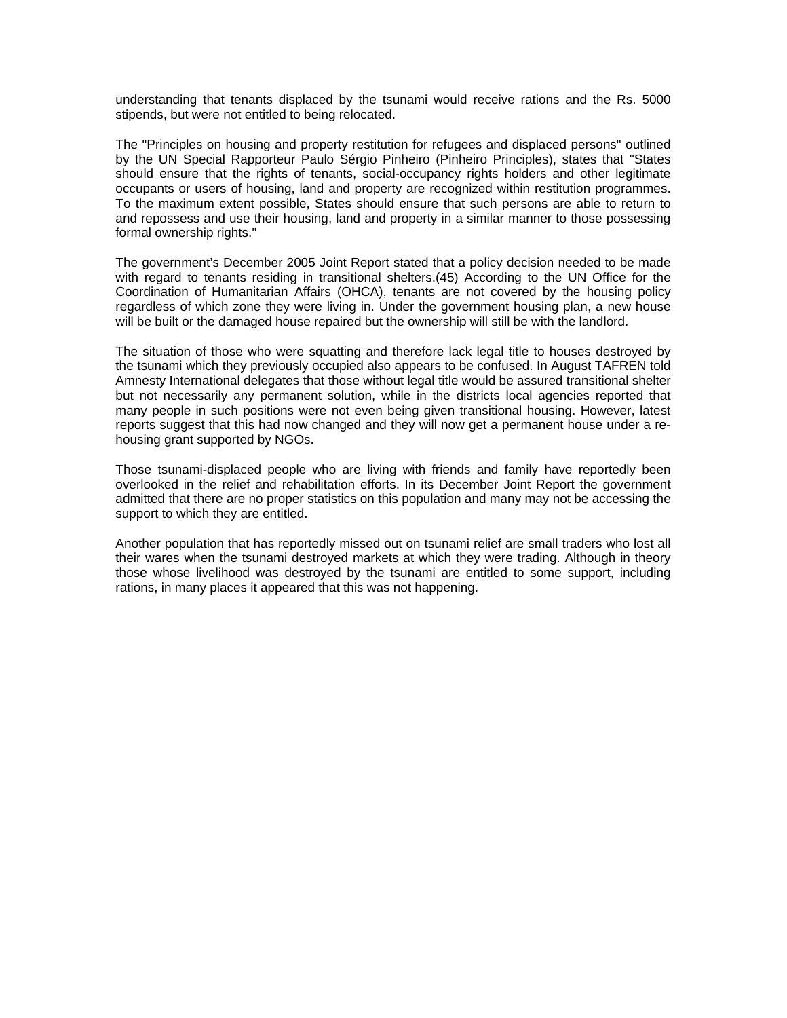understanding that tenants displaced by the tsunami would receive rations and the Rs. 5000 stipends, but were not entitled to being relocated.

The "Principles on housing and property restitution for refugees and displaced persons" outlined by the UN Special Rapporteur Paulo Sérgio Pinheiro (Pinheiro Principles), states that "States should ensure that the rights of tenants, social-occupancy rights holders and other legitimate occupants or users of housing, land and property are recognized within restitution programmes. To the maximum extent possible, States should ensure that such persons are able to return to and repossess and use their housing, land and property in a similar manner to those possessing formal ownership rights."

The government's December 2005 Joint Report stated that a policy decision needed to be made with regard to tenants residing in transitional shelters.(45) According to the UN Office for the Coordination of Humanitarian Affairs (OHCA), tenants are not covered by the housing policy regardless of which zone they were living in. Under the government housing plan, a new house will be built or the damaged house repaired but the ownership will still be with the landlord.

The situation of those who were squatting and therefore lack legal title to houses destroyed by the tsunami which they previously occupied also appears to be confused. In August TAFREN told Amnesty International delegates that those without legal title would be assured transitional shelter but not necessarily any permanent solution, while in the districts local agencies reported that many people in such positions were not even being given transitional housing. However, latest reports suggest that this had now changed and they will now get a permanent house under a rehousing grant supported by NGOs.

Those tsunami-displaced people who are living with friends and family have reportedly been overlooked in the relief and rehabilitation efforts. In its December Joint Report the government admitted that there are no proper statistics on this population and many may not be accessing the support to which they are entitled.

Another population that has reportedly missed out on tsunami relief are small traders who lost all their wares when the tsunami destroyed markets at which they were trading. Although in theory those whose livelihood was destroyed by the tsunami are entitled to some support, including rations, in many places it appeared that this was not happening.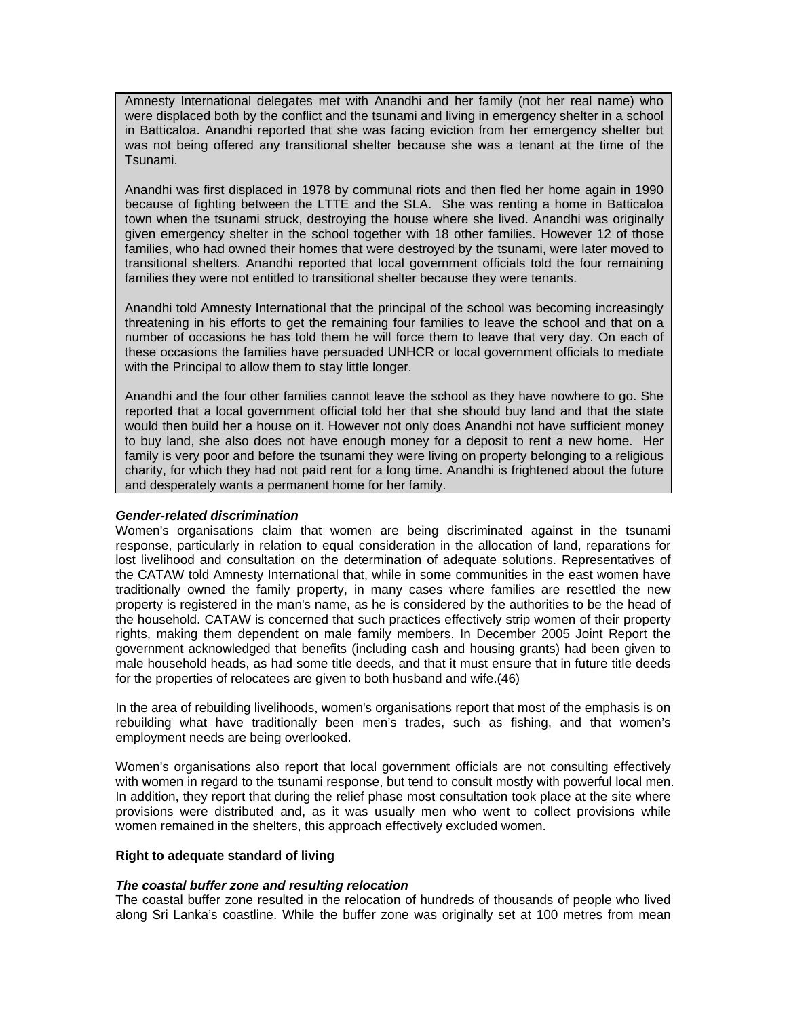Amnesty International delegates met with Anandhi and her family (not her real name) who were displaced both by the conflict and the tsunami and living in emergency shelter in a school in Batticaloa. Anandhi reported that she was facing eviction from her emergency shelter but was not being offered any transitional shelter because she was a tenant at the time of the Tsunami.

Anandhi was first displaced in 1978 by communal riots and then fled her home again in 1990 because of fighting between the LTTE and the SLA. She was renting a home in Batticaloa town when the tsunami struck, destroying the house where she lived. Anandhi was originally given emergency shelter in the school together with 18 other families. However 12 of those families, who had owned their homes that were destroyed by the tsunami, were later moved to transitional shelters. Anandhi reported that local government officials told the four remaining families they were not entitled to transitional shelter because they were tenants.

Anandhi told Amnesty International that the principal of the school was becoming increasingly threatening in his efforts to get the remaining four families to leave the school and that on a number of occasions he has told them he will force them to leave that very day. On each of these occasions the families have persuaded UNHCR or local government officials to mediate with the Principal to allow them to stay little longer.

Anandhi and the four other families cannot leave the school as they have nowhere to go. She reported that a local government official told her that she should buy land and that the state would then build her a house on it. However not only does Anandhi not have sufficient money to buy land, she also does not have enough money for a deposit to rent a new home. Her family is very poor and before the tsunami they were living on property belonging to a religious charity, for which they had not paid rent for a long time. Anandhi is frightened about the future and desperately wants a permanent home for her family.

## *Gender-related discrimination*

Women's organisations claim that women are being discriminated against in the tsunami response, particularly in relation to equal consideration in the allocation of land, reparations for lost livelihood and consultation on the determination of adequate solutions. Representatives of the CATAW told Amnesty International that, while in some communities in the east women have traditionally owned the family property, in many cases where families are resettled the new property is registered in the man's name, as he is considered by the authorities to be the head of the household. CATAW is concerned that such practices effectively strip women of their property rights, making them dependent on male family members. In December 2005 Joint Report the government acknowledged that benefits (including cash and housing grants) had been given to male household heads, as had some title deeds, and that it must ensure that in future title deeds for the properties of relocatees are given to both husband and wife.(46)

In the area of rebuilding livelihoods, women's organisations report that most of the emphasis is on rebuilding what have traditionally been men's trades, such as fishing, and that women's employment needs are being overlooked.

Women's organisations also report that local government officials are not consulting effectively with women in regard to the tsunami response, but tend to consult mostly with powerful local men. In addition, they report that during the relief phase most consultation took place at the site where provisions were distributed and, as it was usually men who went to collect provisions while women remained in the shelters, this approach effectively excluded women.

## **Right to adequate standard of living**

## *The coastal buffer zone and resulting relocation*

The coastal buffer zone resulted in the relocation of hundreds of thousands of people who lived along Sri Lanka's coastline. While the buffer zone was originally set at 100 metres from mean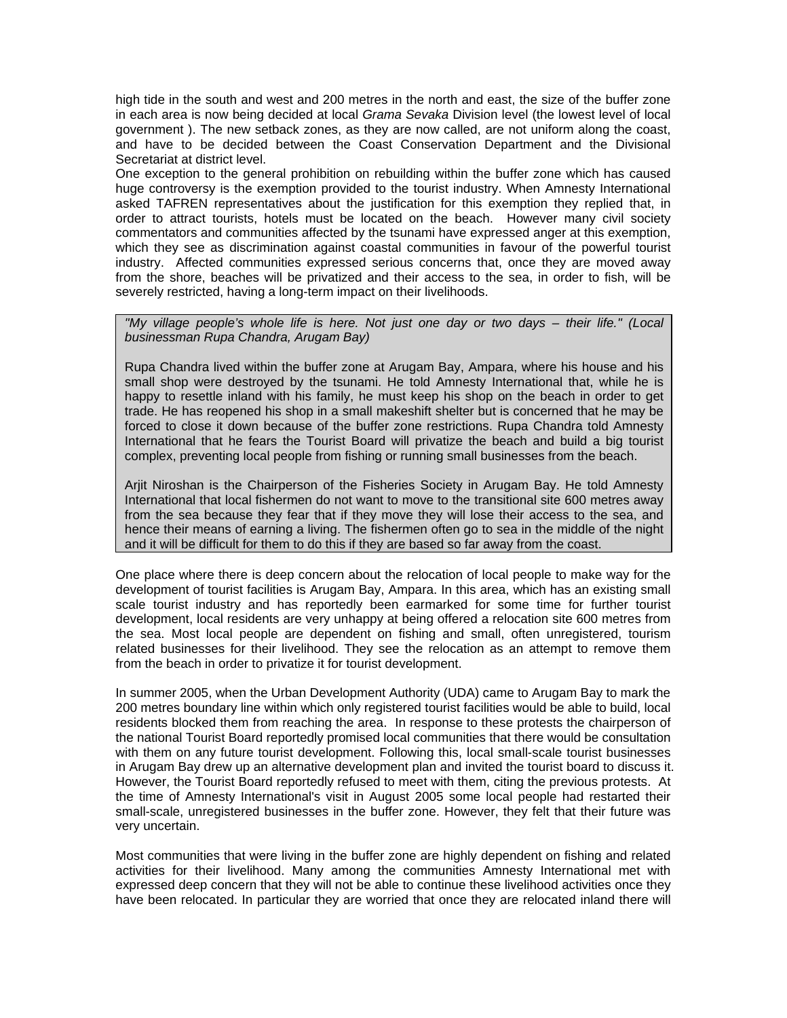high tide in the south and west and 200 metres in the north and east, the size of the buffer zone in each area is now being decided at local *Grama Sevaka* Division level (the lowest level of local government ). The new setback zones, as they are now called, are not uniform along the coast, and have to be decided between the Coast Conservation Department and the Divisional Secretariat at district level.

One exception to the general prohibition on rebuilding within the buffer zone which has caused huge controversy is the exemption provided to the tourist industry. When Amnesty International asked TAFREN representatives about the justification for this exemption they replied that, in order to attract tourists, hotels must be located on the beach. However many civil society commentators and communities affected by the tsunami have expressed anger at this exemption, which they see as discrimination against coastal communities in favour of the powerful tourist industry. Affected communities expressed serious concerns that, once they are moved away from the shore, beaches will be privatized and their access to the sea, in order to fish, will be severely restricted, having a long-term impact on their livelihoods.

#### *"My village people's whole life is here. Not just one day or two days – their life." (Local businessman Rupa Chandra, Arugam Bay)*

Rupa Chandra lived within the buffer zone at Arugam Bay, Ampara, where his house and his small shop were destroyed by the tsunami. He told Amnesty International that, while he is happy to resettle inland with his family, he must keep his shop on the beach in order to get trade. He has reopened his shop in a small makeshift shelter but is concerned that he may be forced to close it down because of the buffer zone restrictions. Rupa Chandra told Amnesty International that he fears the Tourist Board will privatize the beach and build a big tourist complex, preventing local people from fishing or running small businesses from the beach.

Arjit Niroshan is the Chairperson of the Fisheries Society in Arugam Bay. He told Amnesty International that local fishermen do not want to move to the transitional site 600 metres away from the sea because they fear that if they move they will lose their access to the sea, and hence their means of earning a living. The fishermen often go to sea in the middle of the night and it will be difficult for them to do this if they are based so far away from the coast.

One place where there is deep concern about the relocation of local people to make way for the development of tourist facilities is Arugam Bay, Ampara. In this area, which has an existing small scale tourist industry and has reportedly been earmarked for some time for further tourist development, local residents are very unhappy at being offered a relocation site 600 metres from the sea. Most local people are dependent on fishing and small, often unregistered, tourism related businesses for their livelihood. They see the relocation as an attempt to remove them from the beach in order to privatize it for tourist development.

In summer 2005, when the Urban Development Authority (UDA) came to Arugam Bay to mark the 200 metres boundary line within which only registered tourist facilities would be able to build, local residents blocked them from reaching the area. In response to these protests the chairperson of the national Tourist Board reportedly promised local communities that there would be consultation with them on any future tourist development. Following this, local small-scale tourist businesses in Arugam Bay drew up an alternative development plan and invited the tourist board to discuss it. However, the Tourist Board reportedly refused to meet with them, citing the previous protests. At the time of Amnesty International's visit in August 2005 some local people had restarted their small-scale, unregistered businesses in the buffer zone. However, they felt that their future was very uncertain.

Most communities that were living in the buffer zone are highly dependent on fishing and related activities for their livelihood. Many among the communities Amnesty International met with expressed deep concern that they will not be able to continue these livelihood activities once they have been relocated. In particular they are worried that once they are relocated inland there will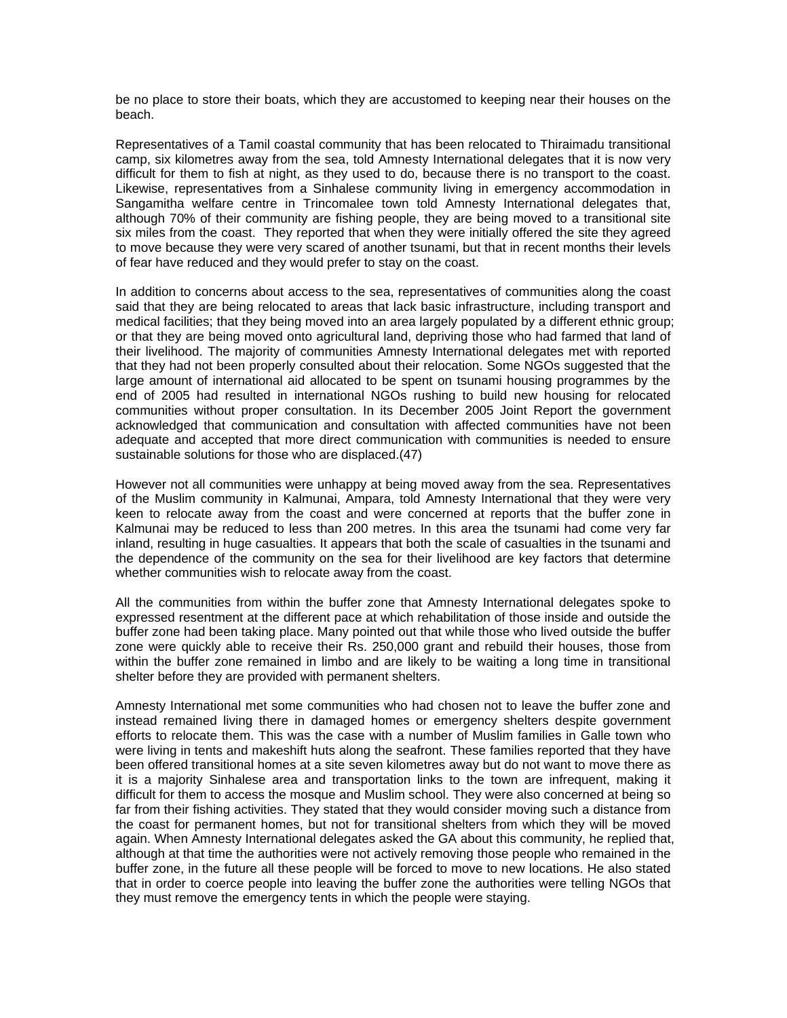be no place to store their boats, which they are accustomed to keeping near their houses on the beach.

Representatives of a Tamil coastal community that has been relocated to Thiraimadu transitional camp, six kilometres away from the sea, told Amnesty International delegates that it is now very difficult for them to fish at night, as they used to do, because there is no transport to the coast. Likewise, representatives from a Sinhalese community living in emergency accommodation in Sangamitha welfare centre in Trincomalee town told Amnesty International delegates that, although 70% of their community are fishing people, they are being moved to a transitional site six miles from the coast. They reported that when they were initially offered the site they agreed to move because they were very scared of another tsunami, but that in recent months their levels of fear have reduced and they would prefer to stay on the coast.

In addition to concerns about access to the sea, representatives of communities along the coast said that they are being relocated to areas that lack basic infrastructure, including transport and medical facilities; that they being moved into an area largely populated by a different ethnic group; or that they are being moved onto agricultural land, depriving those who had farmed that land of their livelihood. The majority of communities Amnesty International delegates met with reported that they had not been properly consulted about their relocation. Some NGOs suggested that the large amount of international aid allocated to be spent on tsunami housing programmes by the end of 2005 had resulted in international NGOs rushing to build new housing for relocated communities without proper consultation. In its December 2005 Joint Report the government acknowledged that communication and consultation with affected communities have not been adequate and accepted that more direct communication with communities is needed to ensure sustainable solutions for those who are displaced.(47)

However not all communities were unhappy at being moved away from the sea. Representatives of the Muslim community in Kalmunai, Ampara, told Amnesty International that they were very keen to relocate away from the coast and were concerned at reports that the buffer zone in Kalmunai may be reduced to less than 200 metres. In this area the tsunami had come very far inland, resulting in huge casualties. It appears that both the scale of casualties in the tsunami and the dependence of the community on the sea for their livelihood are key factors that determine whether communities wish to relocate away from the coast.

All the communities from within the buffer zone that Amnesty International delegates spoke to expressed resentment at the different pace at which rehabilitation of those inside and outside the buffer zone had been taking place. Many pointed out that while those who lived outside the buffer zone were quickly able to receive their Rs. 250,000 grant and rebuild their houses, those from within the buffer zone remained in limbo and are likely to be waiting a long time in transitional shelter before they are provided with permanent shelters.

Amnesty International met some communities who had chosen not to leave the buffer zone and instead remained living there in damaged homes or emergency shelters despite government efforts to relocate them. This was the case with a number of Muslim families in Galle town who were living in tents and makeshift huts along the seafront. These families reported that they have been offered transitional homes at a site seven kilometres away but do not want to move there as it is a majority Sinhalese area and transportation links to the town are infrequent, making it difficult for them to access the mosque and Muslim school. They were also concerned at being so far from their fishing activities. They stated that they would consider moving such a distance from the coast for permanent homes, but not for transitional shelters from which they will be moved again. When Amnesty International delegates asked the GA about this community, he replied that, although at that time the authorities were not actively removing those people who remained in the buffer zone, in the future all these people will be forced to move to new locations. He also stated that in order to coerce people into leaving the buffer zone the authorities were telling NGOs that they must remove the emergency tents in which the people were staying.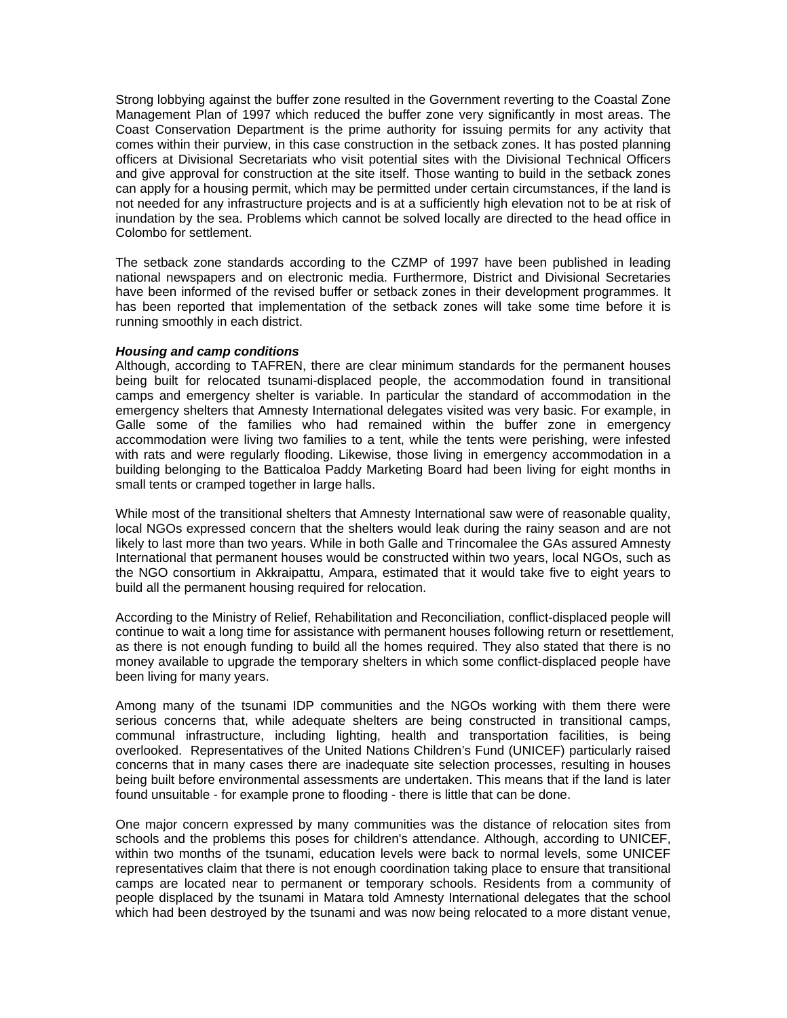Strong lobbying against the buffer zone resulted in the Government reverting to the Coastal Zone Management Plan of 1997 which reduced the buffer zone very significantly in most areas. The Coast Conservation Department is the prime authority for issuing permits for any activity that comes within their purview, in this case construction in the setback zones. It has posted planning officers at Divisional Secretariats who visit potential sites with the Divisional Technical Officers and give approval for construction at the site itself. Those wanting to build in the setback zones can apply for a housing permit, which may be permitted under certain circumstances, if the land is not needed for any infrastructure projects and is at a sufficiently high elevation not to be at risk of inundation by the sea. Problems which cannot be solved locally are directed to the head office in Colombo for settlement.

The setback zone standards according to the CZMP of 1997 have been published in leading national newspapers and on electronic media. Furthermore, District and Divisional Secretaries have been informed of the revised buffer or setback zones in their development programmes. It has been reported that implementation of the setback zones will take some time before it is running smoothly in each district.

#### *Housing and camp conditions*

Although, according to TAFREN, there are clear minimum standards for the permanent houses being built for relocated tsunami-displaced people, the accommodation found in transitional camps and emergency shelter is variable. In particular the standard of accommodation in the emergency shelters that Amnesty International delegates visited was very basic. For example, in Galle some of the families who had remained within the buffer zone in emergency accommodation were living two families to a tent, while the tents were perishing, were infested with rats and were regularly flooding. Likewise, those living in emergency accommodation in a building belonging to the Batticaloa Paddy Marketing Board had been living for eight months in small tents or cramped together in large halls.

While most of the transitional shelters that Amnesty International saw were of reasonable quality, local NGOs expressed concern that the shelters would leak during the rainy season and are not likely to last more than two years. While in both Galle and Trincomalee the GAs assured Amnesty International that permanent houses would be constructed within two years, local NGOs, such as the NGO consortium in Akkraipattu, Ampara, estimated that it would take five to eight years to build all the permanent housing required for relocation.

According to the Ministry of Relief, Rehabilitation and Reconciliation, conflict-displaced people will continue to wait a long time for assistance with permanent houses following return or resettlement, as there is not enough funding to build all the homes required. They also stated that there is no money available to upgrade the temporary shelters in which some conflict-displaced people have been living for many years.

Among many of the tsunami IDP communities and the NGOs working with them there were serious concerns that, while adequate shelters are being constructed in transitional camps, communal infrastructure, including lighting, health and transportation facilities, is being overlooked. Representatives of the United Nations Children's Fund (UNICEF) particularly raised concerns that in many cases there are inadequate site selection processes, resulting in houses being built before environmental assessments are undertaken. This means that if the land is later found unsuitable - for example prone to flooding - there is little that can be done.

One major concern expressed by many communities was the distance of relocation sites from schools and the problems this poses for children's attendance. Although, according to UNICEF, within two months of the tsunami, education levels were back to normal levels, some UNICEF representatives claim that there is not enough coordination taking place to ensure that transitional camps are located near to permanent or temporary schools. Residents from a community of people displaced by the tsunami in Matara told Amnesty International delegates that the school which had been destroyed by the tsunami and was now being relocated to a more distant venue,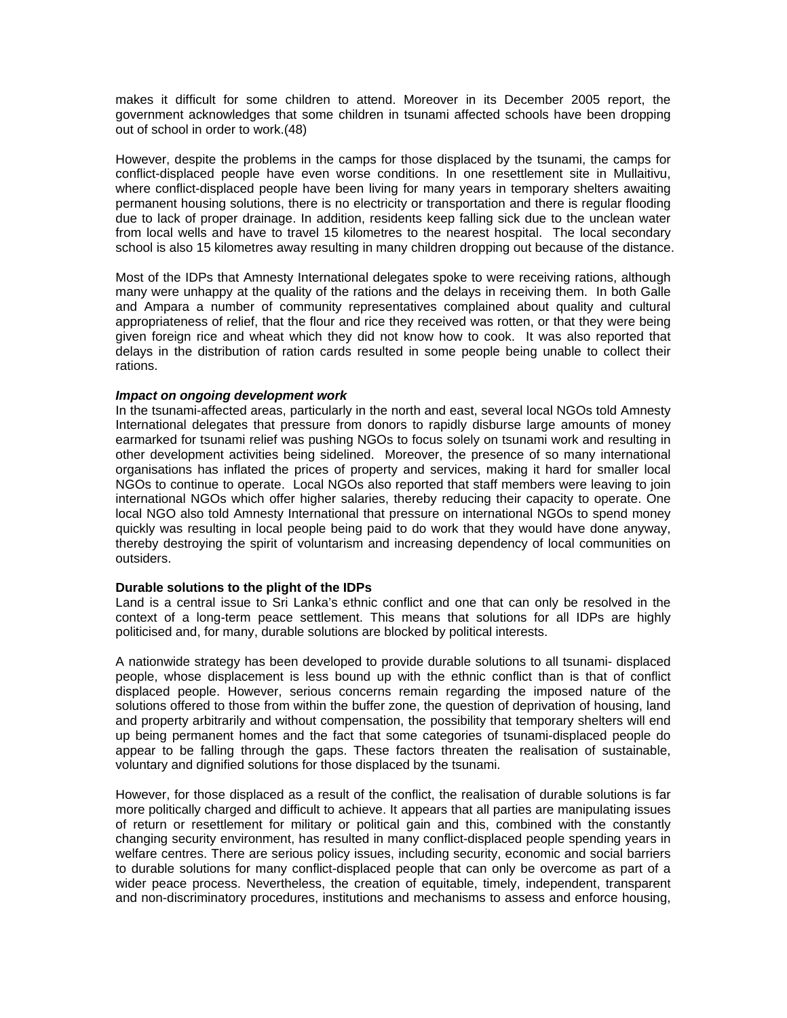makes it difficult for some children to attend. Moreover in its December 2005 report, the government acknowledges that some children in tsunami affected schools have been dropping out of school in order to work.(48)

However, despite the problems in the camps for those displaced by the tsunami, the camps for conflict-displaced people have even worse conditions. In one resettlement site in Mullaitivu, where conflict-displaced people have been living for many years in temporary shelters awaiting permanent housing solutions, there is no electricity or transportation and there is regular flooding due to lack of proper drainage. In addition, residents keep falling sick due to the unclean water from local wells and have to travel 15 kilometres to the nearest hospital. The local secondary school is also 15 kilometres away resulting in many children dropping out because of the distance.

Most of the IDPs that Amnesty International delegates spoke to were receiving rations, although many were unhappy at the quality of the rations and the delays in receiving them. In both Galle and Ampara a number of community representatives complained about quality and cultural appropriateness of relief, that the flour and rice they received was rotten, or that they were being given foreign rice and wheat which they did not know how to cook. It was also reported that delays in the distribution of ration cards resulted in some people being unable to collect their rations.

#### *Impact on ongoing development work*

In the tsunami-affected areas, particularly in the north and east, several local NGOs told Amnesty International delegates that pressure from donors to rapidly disburse large amounts of money earmarked for tsunami relief was pushing NGOs to focus solely on tsunami work and resulting in other development activities being sidelined. Moreover, the presence of so many international organisations has inflated the prices of property and services, making it hard for smaller local NGOs to continue to operate. Local NGOs also reported that staff members were leaving to join international NGOs which offer higher salaries, thereby reducing their capacity to operate. One local NGO also told Amnesty International that pressure on international NGOs to spend money quickly was resulting in local people being paid to do work that they would have done anyway, thereby destroying the spirit of voluntarism and increasing dependency of local communities on outsiders.

## **Durable solutions to the plight of the IDPs**

Land is a central issue to Sri Lanka's ethnic conflict and one that can only be resolved in the context of a long-term peace settlement. This means that solutions for all IDPs are highly politicised and, for many, durable solutions are blocked by political interests.

A nationwide strategy has been developed to provide durable solutions to all tsunami- displaced people, whose displacement is less bound up with the ethnic conflict than is that of conflict displaced people. However, serious concerns remain regarding the imposed nature of the solutions offered to those from within the buffer zone, the question of deprivation of housing, land and property arbitrarily and without compensation, the possibility that temporary shelters will end up being permanent homes and the fact that some categories of tsunami-displaced people do appear to be falling through the gaps. These factors threaten the realisation of sustainable, voluntary and dignified solutions for those displaced by the tsunami.

However, for those displaced as a result of the conflict, the realisation of durable solutions is far more politically charged and difficult to achieve. It appears that all parties are manipulating issues of return or resettlement for military or political gain and this, combined with the constantly changing security environment, has resulted in many conflict-displaced people spending years in welfare centres. There are serious policy issues, including security, economic and social barriers to durable solutions for many conflict-displaced people that can only be overcome as part of a wider peace process. Nevertheless, the creation of equitable, timely, independent, transparent and non-discriminatory procedures, institutions and mechanisms to assess and enforce housing,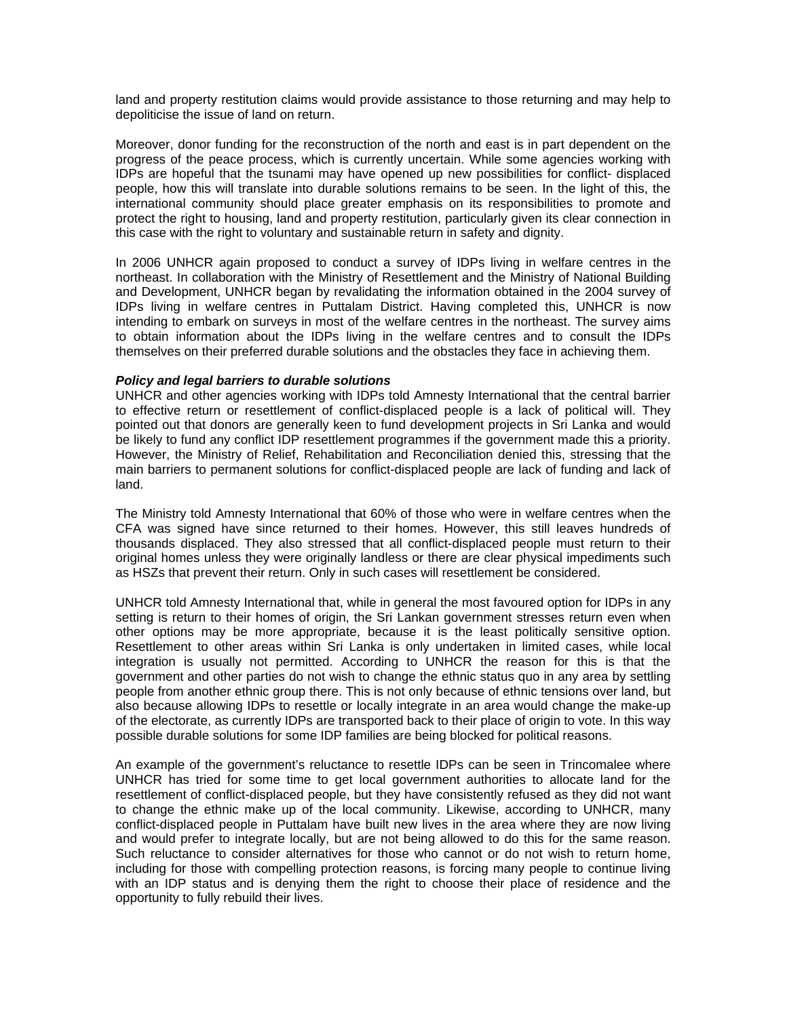land and property restitution claims would provide assistance to those returning and may help to depoliticise the issue of land on return.

Moreover, donor funding for the reconstruction of the north and east is in part dependent on the progress of the peace process, which is currently uncertain. While some agencies working with IDPs are hopeful that the tsunami may have opened up new possibilities for conflict- displaced people, how this will translate into durable solutions remains to be seen. In the light of this, the international community should place greater emphasis on its responsibilities to promote and protect the right to housing, land and property restitution, particularly given its clear connection in this case with the right to voluntary and sustainable return in safety and dignity.

In 2006 UNHCR again proposed to conduct a survey of IDPs living in welfare centres in the northeast. In collaboration with the Ministry of Resettlement and the Ministry of National Building and Development, UNHCR began by revalidating the information obtained in the 2004 survey of IDPs living in welfare centres in Puttalam District. Having completed this, UNHCR is now intending to embark on surveys in most of the welfare centres in the northeast. The survey aims to obtain information about the IDPs living in the welfare centres and to consult the IDPs themselves on their preferred durable solutions and the obstacles they face in achieving them.

## *Policy and legal barriers to durable solutions*

UNHCR and other agencies working with IDPs told Amnesty International that the central barrier to effective return or resettlement of conflict-displaced people is a lack of political will. They pointed out that donors are generally keen to fund development projects in Sri Lanka and would be likely to fund any conflict IDP resettlement programmes if the government made this a priority. However, the Ministry of Relief, Rehabilitation and Reconciliation denied this, stressing that the main barriers to permanent solutions for conflict-displaced people are lack of funding and lack of land.

The Ministry told Amnesty International that 60% of those who were in welfare centres when the CFA was signed have since returned to their homes. However, this still leaves hundreds of thousands displaced. They also stressed that all conflict-displaced people must return to their original homes unless they were originally landless or there are clear physical impediments such as HSZs that prevent their return. Only in such cases will resettlement be considered.

UNHCR told Amnesty International that, while in general the most favoured option for IDPs in any setting is return to their homes of origin, the Sri Lankan government stresses return even when other options may be more appropriate, because it is the least politically sensitive option. Resettlement to other areas within Sri Lanka is only undertaken in limited cases, while local integration is usually not permitted. According to UNHCR the reason for this is that the government and other parties do not wish to change the ethnic status quo in any area by settling people from another ethnic group there. This is not only because of ethnic tensions over land, but also because allowing IDPs to resettle or locally integrate in an area would change the make-up of the electorate, as currently IDPs are transported back to their place of origin to vote. In this way possible durable solutions for some IDP families are being blocked for political reasons.

An example of the government's reluctance to resettle IDPs can be seen in Trincomalee where UNHCR has tried for some time to get local government authorities to allocate land for the resettlement of conflict-displaced people, but they have consistently refused as they did not want to change the ethnic make up of the local community. Likewise, according to UNHCR, many conflict-displaced people in Puttalam have built new lives in the area where they are now living and would prefer to integrate locally, but are not being allowed to do this for the same reason. Such reluctance to consider alternatives for those who cannot or do not wish to return home, including for those with compelling protection reasons, is forcing many people to continue living with an IDP status and is denying them the right to choose their place of residence and the opportunity to fully rebuild their lives.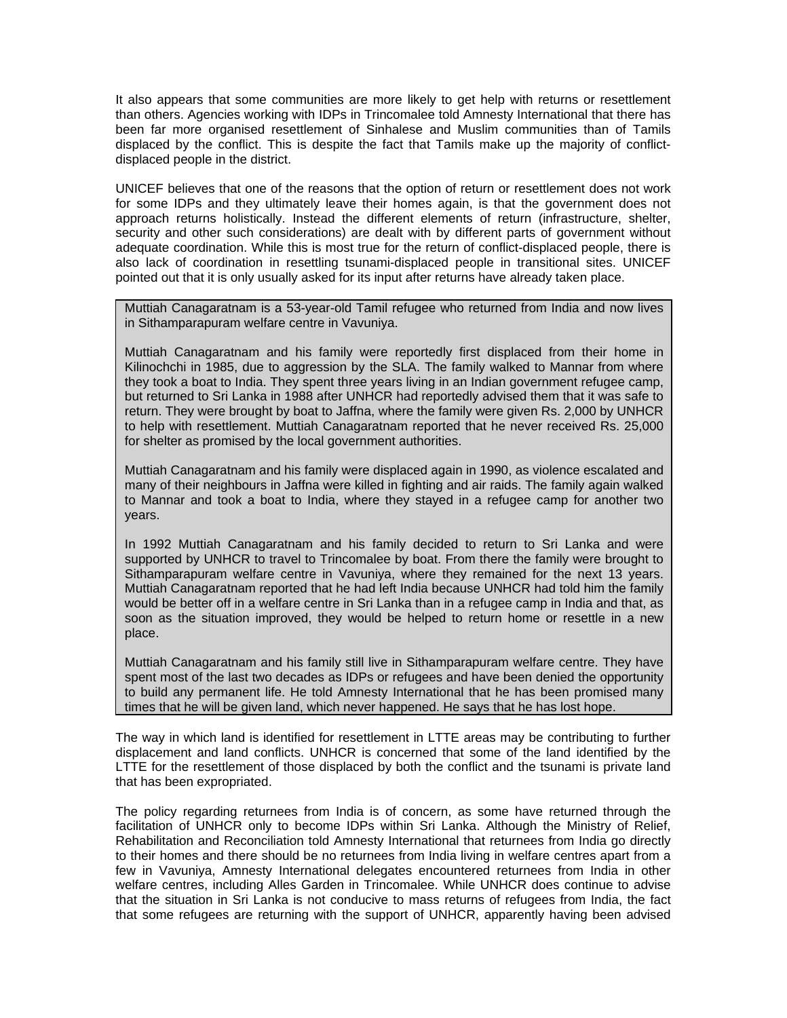It also appears that some communities are more likely to get help with returns or resettlement than others. Agencies working with IDPs in Trincomalee told Amnesty International that there has been far more organised resettlement of Sinhalese and Muslim communities than of Tamils displaced by the conflict. This is despite the fact that Tamils make up the majority of conflictdisplaced people in the district.

UNICEF believes that one of the reasons that the option of return or resettlement does not work for some IDPs and they ultimately leave their homes again, is that the government does not approach returns holistically. Instead the different elements of return (infrastructure, shelter, security and other such considerations) are dealt with by different parts of government without adequate coordination. While this is most true for the return of conflict-displaced people, there is also lack of coordination in resettling tsunami-displaced people in transitional sites. UNICEF pointed out that it is only usually asked for its input after returns have already taken place.

Muttiah Canagaratnam is a 53-year-old Tamil refugee who returned from India and now lives in Sithamparapuram welfare centre in Vavuniya.

Muttiah Canagaratnam and his family were reportedly first displaced from their home in Kilinochchi in 1985, due to aggression by the SLA. The family walked to Mannar from where they took a boat to India. They spent three years living in an Indian government refugee camp, but returned to Sri Lanka in 1988 after UNHCR had reportedly advised them that it was safe to return. They were brought by boat to Jaffna, where the family were given Rs. 2,000 by UNHCR to help with resettlement. Muttiah Canagaratnam reported that he never received Rs. 25,000 for shelter as promised by the local government authorities.

Muttiah Canagaratnam and his family were displaced again in 1990, as violence escalated and many of their neighbours in Jaffna were killed in fighting and air raids. The family again walked to Mannar and took a boat to India, where they stayed in a refugee camp for another two years.

In 1992 Muttiah Canagaratnam and his family decided to return to Sri Lanka and were supported by UNHCR to travel to Trincomalee by boat. From there the family were brought to Sithamparapuram welfare centre in Vavuniya, where they remained for the next 13 years. Muttiah Canagaratnam reported that he had left India because UNHCR had told him the family would be better off in a welfare centre in Sri Lanka than in a refugee camp in India and that, as soon as the situation improved, they would be helped to return home or resettle in a new place.

Muttiah Canagaratnam and his family still live in Sithamparapuram welfare centre. They have spent most of the last two decades as IDPs or refugees and have been denied the opportunity to build any permanent life. He told Amnesty International that he has been promised many times that he will be given land, which never happened. He says that he has lost hope.

The way in which land is identified for resettlement in LTTE areas may be contributing to further displacement and land conflicts. UNHCR is concerned that some of the land identified by the LTTE for the resettlement of those displaced by both the conflict and the tsunami is private land that has been expropriated.

The policy regarding returnees from India is of concern, as some have returned through the facilitation of UNHCR only to become IDPs within Sri Lanka. Although the Ministry of Relief, Rehabilitation and Reconciliation told Amnesty International that returnees from India go directly to their homes and there should be no returnees from India living in welfare centres apart from a few in Vavuniya, Amnesty International delegates encountered returnees from India in other welfare centres, including Alles Garden in Trincomalee. While UNHCR does continue to advise that the situation in Sri Lanka is not conducive to mass returns of refugees from India, the fact that some refugees are returning with the support of UNHCR, apparently having been advised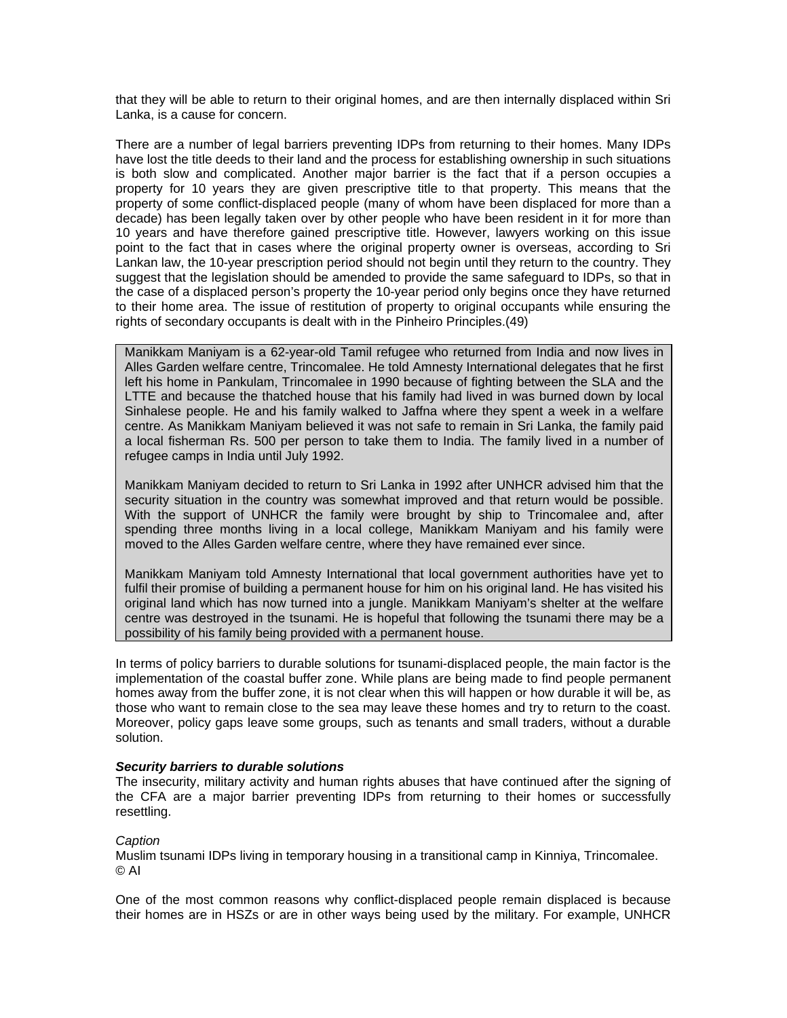that they will be able to return to their original homes, and are then internally displaced within Sri Lanka, is a cause for concern.

There are a number of legal barriers preventing IDPs from returning to their homes. Many IDPs have lost the title deeds to their land and the process for establishing ownership in such situations is both slow and complicated. Another major barrier is the fact that if a person occupies a property for 10 years they are given prescriptive title to that property. This means that the property of some conflict-displaced people (many of whom have been displaced for more than a decade) has been legally taken over by other people who have been resident in it for more than 10 years and have therefore gained prescriptive title. However, lawyers working on this issue point to the fact that in cases where the original property owner is overseas, according to Sri Lankan law, the 10-year prescription period should not begin until they return to the country. They suggest that the legislation should be amended to provide the same safeguard to IDPs, so that in the case of a displaced person's property the 10-year period only begins once they have returned to their home area. The issue of restitution of property to original occupants while ensuring the rights of secondary occupants is dealt with in the Pinheiro Principles.(49)

Manikkam Maniyam is a 62-year-old Tamil refugee who returned from India and now lives in Alles Garden welfare centre, Trincomalee. He told Amnesty International delegates that he first left his home in Pankulam, Trincomalee in 1990 because of fighting between the SLA and the LTTE and because the thatched house that his family had lived in was burned down by local Sinhalese people. He and his family walked to Jaffna where they spent a week in a welfare centre. As Manikkam Maniyam believed it was not safe to remain in Sri Lanka, the family paid a local fisherman Rs. 500 per person to take them to India. The family lived in a number of refugee camps in India until July 1992.

Manikkam Maniyam decided to return to Sri Lanka in 1992 after UNHCR advised him that the security situation in the country was somewhat improved and that return would be possible. With the support of UNHCR the family were brought by ship to Trincomalee and, after spending three months living in a local college, Manikkam Maniyam and his family were moved to the Alles Garden welfare centre, where they have remained ever since.

Manikkam Maniyam told Amnesty International that local government authorities have yet to fulfil their promise of building a permanent house for him on his original land. He has visited his original land which has now turned into a jungle. Manikkam Maniyam's shelter at the welfare centre was destroyed in the tsunami. He is hopeful that following the tsunami there may be a possibility of his family being provided with a permanent house.

In terms of policy barriers to durable solutions for tsunami-displaced people, the main factor is the implementation of the coastal buffer zone. While plans are being made to find people permanent homes away from the buffer zone, it is not clear when this will happen or how durable it will be, as those who want to remain close to the sea may leave these homes and try to return to the coast. Moreover, policy gaps leave some groups, such as tenants and small traders, without a durable solution.

## *Security barriers to durable solutions*

The insecurity, military activity and human rights abuses that have continued after the signing of the CFA are a major barrier preventing IDPs from returning to their homes or successfully resettling.

## *Caption*

Muslim tsunami IDPs living in temporary housing in a transitional camp in Kinniya, Trincomalee. © AI

One of the most common reasons why conflict-displaced people remain displaced is because their homes are in HSZs or are in other ways being used by the military. For example, UNHCR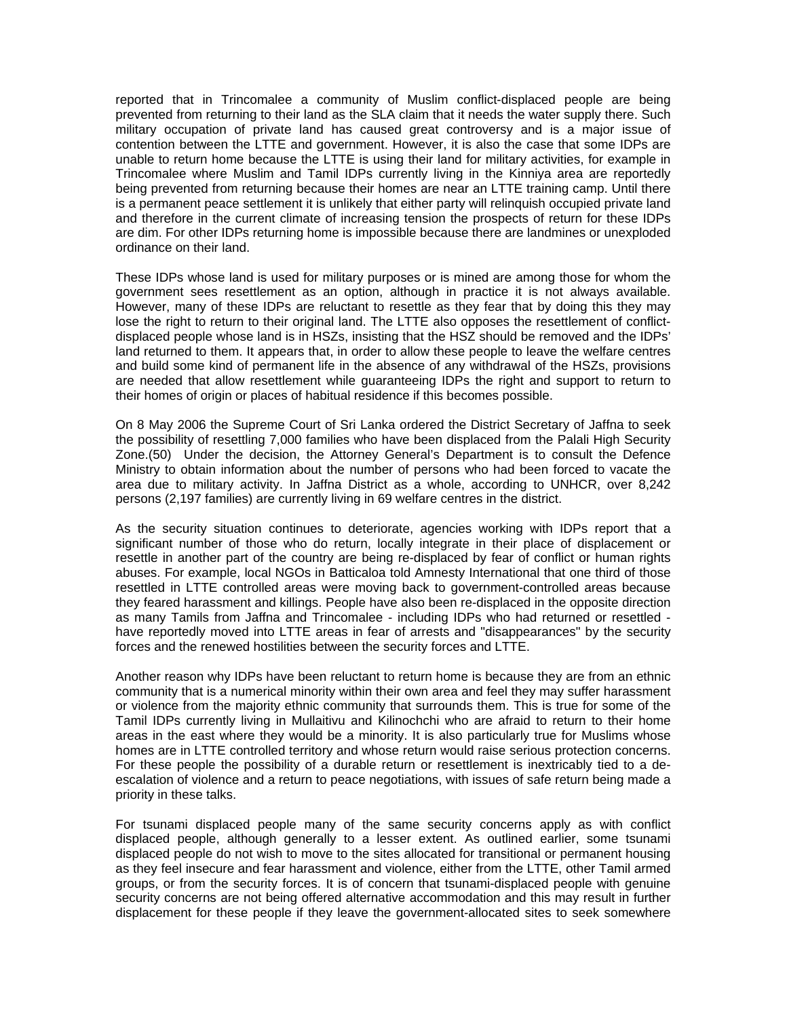reported that in Trincomalee a community of Muslim conflict-displaced people are being prevented from returning to their land as the SLA claim that it needs the water supply there. Such military occupation of private land has caused great controversy and is a major issue of contention between the LTTE and government. However, it is also the case that some IDPs are unable to return home because the LTTE is using their land for military activities, for example in Trincomalee where Muslim and Tamil IDPs currently living in the Kinniya area are reportedly being prevented from returning because their homes are near an LTTE training camp. Until there is a permanent peace settlement it is unlikely that either party will relinquish occupied private land and therefore in the current climate of increasing tension the prospects of return for these IDPs are dim. For other IDPs returning home is impossible because there are landmines or unexploded ordinance on their land.

These IDPs whose land is used for military purposes or is mined are among those for whom the government sees resettlement as an option, although in practice it is not always available. However, many of these IDPs are reluctant to resettle as they fear that by doing this they may lose the right to return to their original land. The LTTE also opposes the resettlement of conflictdisplaced people whose land is in HSZs, insisting that the HSZ should be removed and the IDPs' land returned to them. It appears that, in order to allow these people to leave the welfare centres and build some kind of permanent life in the absence of any withdrawal of the HSZs, provisions are needed that allow resettlement while guaranteeing IDPs the right and support to return to their homes of origin or places of habitual residence if this becomes possible.

On 8 May 2006 the Supreme Court of Sri Lanka ordered the District Secretary of Jaffna to seek the possibility of resettling 7,000 families who have been displaced from the Palali High Security Zone.(50) Under the decision, the Attorney General's Department is to consult the Defence Ministry to obtain information about the number of persons who had been forced to vacate the area due to military activity. In Jaffna District as a whole, according to UNHCR, over 8,242 persons (2,197 families) are currently living in 69 welfare centres in the district.

As the security situation continues to deteriorate, agencies working with IDPs report that a significant number of those who do return, locally integrate in their place of displacement or resettle in another part of the country are being re-displaced by fear of conflict or human rights abuses. For example, local NGOs in Batticaloa told Amnesty International that one third of those resettled in LTTE controlled areas were moving back to government-controlled areas because they feared harassment and killings. People have also been re-displaced in the opposite direction as many Tamils from Jaffna and Trincomalee - including IDPs who had returned or resettled have reportedly moved into LTTE areas in fear of arrests and "disappearances" by the security forces and the renewed hostilities between the security forces and LTTE.

Another reason why IDPs have been reluctant to return home is because they are from an ethnic community that is a numerical minority within their own area and feel they may suffer harassment or violence from the majority ethnic community that surrounds them. This is true for some of the Tamil IDPs currently living in Mullaitivu and Kilinochchi who are afraid to return to their home areas in the east where they would be a minority. It is also particularly true for Muslims whose homes are in LTTE controlled territory and whose return would raise serious protection concerns. For these people the possibility of a durable return or resettlement is inextricably tied to a deescalation of violence and a return to peace negotiations, with issues of safe return being made a priority in these talks.

For tsunami displaced people many of the same security concerns apply as with conflict displaced people, although generally to a lesser extent. As outlined earlier, some tsunami displaced people do not wish to move to the sites allocated for transitional or permanent housing as they feel insecure and fear harassment and violence, either from the LTTE, other Tamil armed groups, or from the security forces. It is of concern that tsunami-displaced people with genuine security concerns are not being offered alternative accommodation and this may result in further displacement for these people if they leave the government-allocated sites to seek somewhere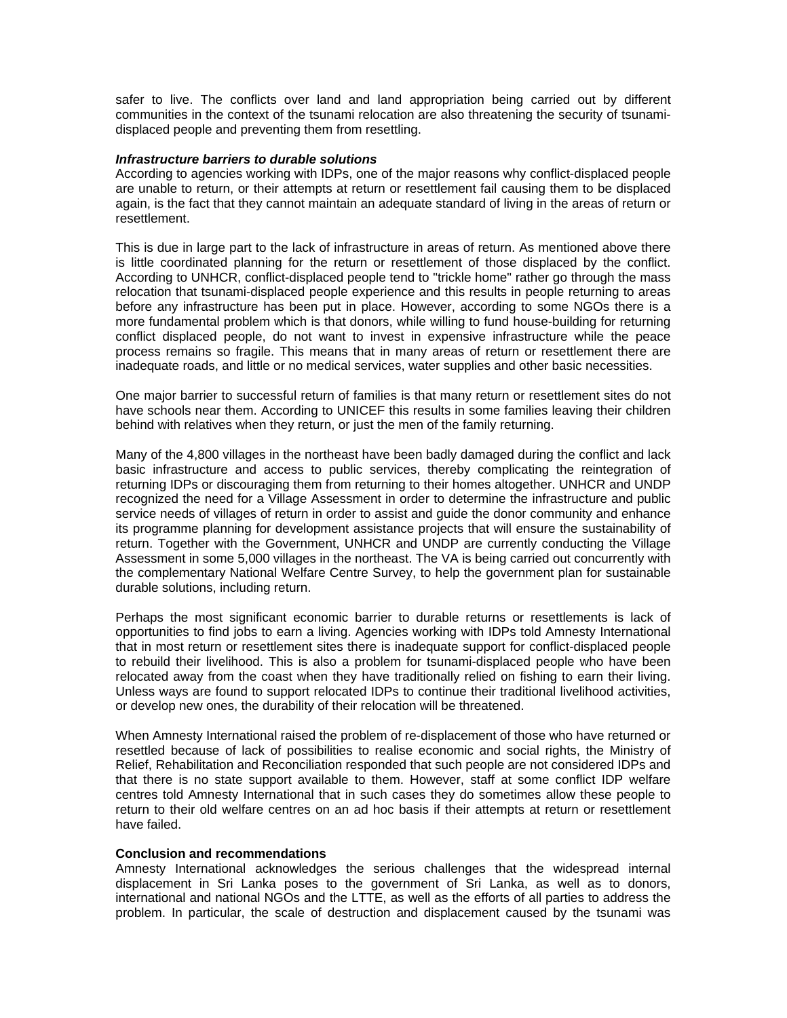safer to live. The conflicts over land and land appropriation being carried out by different communities in the context of the tsunami relocation are also threatening the security of tsunamidisplaced people and preventing them from resettling.

#### *Infrastructure barriers to durable solutions*

According to agencies working with IDPs, one of the major reasons why conflict-displaced people are unable to return, or their attempts at return or resettlement fail causing them to be displaced again, is the fact that they cannot maintain an adequate standard of living in the areas of return or resettlement.

This is due in large part to the lack of infrastructure in areas of return. As mentioned above there is little coordinated planning for the return or resettlement of those displaced by the conflict. According to UNHCR, conflict-displaced people tend to "trickle home" rather go through the mass relocation that tsunami-displaced people experience and this results in people returning to areas before any infrastructure has been put in place. However, according to some NGOs there is a more fundamental problem which is that donors, while willing to fund house-building for returning conflict displaced people, do not want to invest in expensive infrastructure while the peace process remains so fragile. This means that in many areas of return or resettlement there are inadequate roads, and little or no medical services, water supplies and other basic necessities.

One major barrier to successful return of families is that many return or resettlement sites do not have schools near them. According to UNICEF this results in some families leaving their children behind with relatives when they return, or just the men of the family returning.

Many of the 4,800 villages in the northeast have been badly damaged during the conflict and lack basic infrastructure and access to public services, thereby complicating the reintegration of returning IDPs or discouraging them from returning to their homes altogether. UNHCR and UNDP recognized the need for a Village Assessment in order to determine the infrastructure and public service needs of villages of return in order to assist and guide the donor community and enhance its programme planning for development assistance projects that will ensure the sustainability of return. Together with the Government, UNHCR and UNDP are currently conducting the Village Assessment in some 5,000 villages in the northeast. The VA is being carried out concurrently with the complementary National Welfare Centre Survey, to help the government plan for sustainable durable solutions, including return.

Perhaps the most significant economic barrier to durable returns or resettlements is lack of opportunities to find jobs to earn a living. Agencies working with IDPs told Amnesty International that in most return or resettlement sites there is inadequate support for conflict-displaced people to rebuild their livelihood. This is also a problem for tsunami-displaced people who have been relocated away from the coast when they have traditionally relied on fishing to earn their living. Unless ways are found to support relocated IDPs to continue their traditional livelihood activities, or develop new ones, the durability of their relocation will be threatened.

When Amnesty International raised the problem of re-displacement of those who have returned or resettled because of lack of possibilities to realise economic and social rights, the Ministry of Relief, Rehabilitation and Reconciliation responded that such people are not considered IDPs and that there is no state support available to them. However, staff at some conflict IDP welfare centres told Amnesty International that in such cases they do sometimes allow these people to return to their old welfare centres on an ad hoc basis if their attempts at return or resettlement have failed.

#### **Conclusion and recommendations**

Amnesty International acknowledges the serious challenges that the widespread internal displacement in Sri Lanka poses to the government of Sri Lanka, as well as to donors, international and national NGOs and the LTTE, as well as the efforts of all parties to address the problem. In particular, the scale of destruction and displacement caused by the tsunami was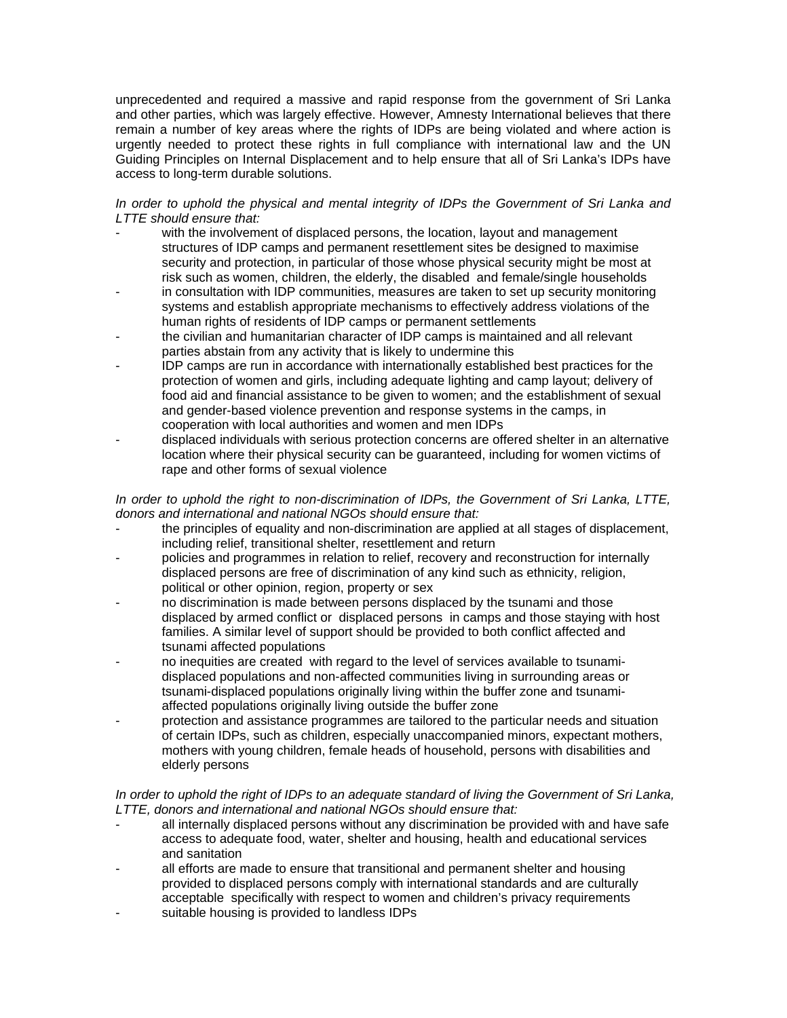unprecedented and required a massive and rapid response from the government of Sri Lanka and other parties, which was largely effective. However, Amnesty International believes that there remain a number of key areas where the rights of IDPs are being violated and where action is urgently needed to protect these rights in full compliance with international law and the UN Guiding Principles on Internal Displacement and to help ensure that all of Sri Lanka's IDPs have access to long-term durable solutions.

## *In order to uphold the physical and mental integrity of IDPs the Government of Sri Lanka and LTTE should ensure that:*

- with the involvement of displaced persons, the location, layout and management structures of IDP camps and permanent resettlement sites be designed to maximise security and protection, in particular of those whose physical security might be most at risk such as women, children, the elderly, the disabled and female/single households
- in consultation with IDP communities, measures are taken to set up security monitoring systems and establish appropriate mechanisms to effectively address violations of the human rights of residents of IDP camps or permanent settlements
- the civilian and humanitarian character of IDP camps is maintained and all relevant parties abstain from any activity that is likely to undermine this
- IDP camps are run in accordance with internationally established best practices for the protection of women and girls, including adequate lighting and camp layout; delivery of food aid and financial assistance to be given to women; and the establishment of sexual and gender-based violence prevention and response systems in the camps, in cooperation with local authorities and women and men IDPs
- displaced individuals with serious protection concerns are offered shelter in an alternative location where their physical security can be guaranteed, including for women victims of rape and other forms of sexual violence

# *In order to uphold the right to non-discrimination of IDPs, the Government of Sri Lanka, LTTE, donors and international and national NGOs should ensure that:*

- the principles of equality and non-discrimination are applied at all stages of displacement, including relief, transitional shelter, resettlement and return
- policies and programmes in relation to relief, recovery and reconstruction for internally displaced persons are free of discrimination of any kind such as ethnicity, religion, political or other opinion, region, property or sex
- no discrimination is made between persons displaced by the tsunami and those displaced by armed conflict or displaced persons in camps and those staying with host families. A similar level of support should be provided to both conflict affected and tsunami affected populations
- no inequities are created with regard to the level of services available to tsunamidisplaced populations and non-affected communities living in surrounding areas or tsunami-displaced populations originally living within the buffer zone and tsunamiaffected populations originally living outside the buffer zone
- protection and assistance programmes are tailored to the particular needs and situation of certain IDPs, such as children, especially unaccompanied minors, expectant mothers, mothers with young children, female heads of household, persons with disabilities and elderly persons

# *In order to uphold the right of IDPs to an adequate standard of living the Government of Sri Lanka, LTTE, donors and international and national NGOs should ensure that:*

- all internally displaced persons without any discrimination be provided with and have safe access to adequate food, water, shelter and housing, health and educational services and sanitation
- all efforts are made to ensure that transitional and permanent shelter and housing provided to displaced persons comply with international standards and are culturally acceptable specifically with respect to women and children's privacy requirements
- suitable housing is provided to landless IDPs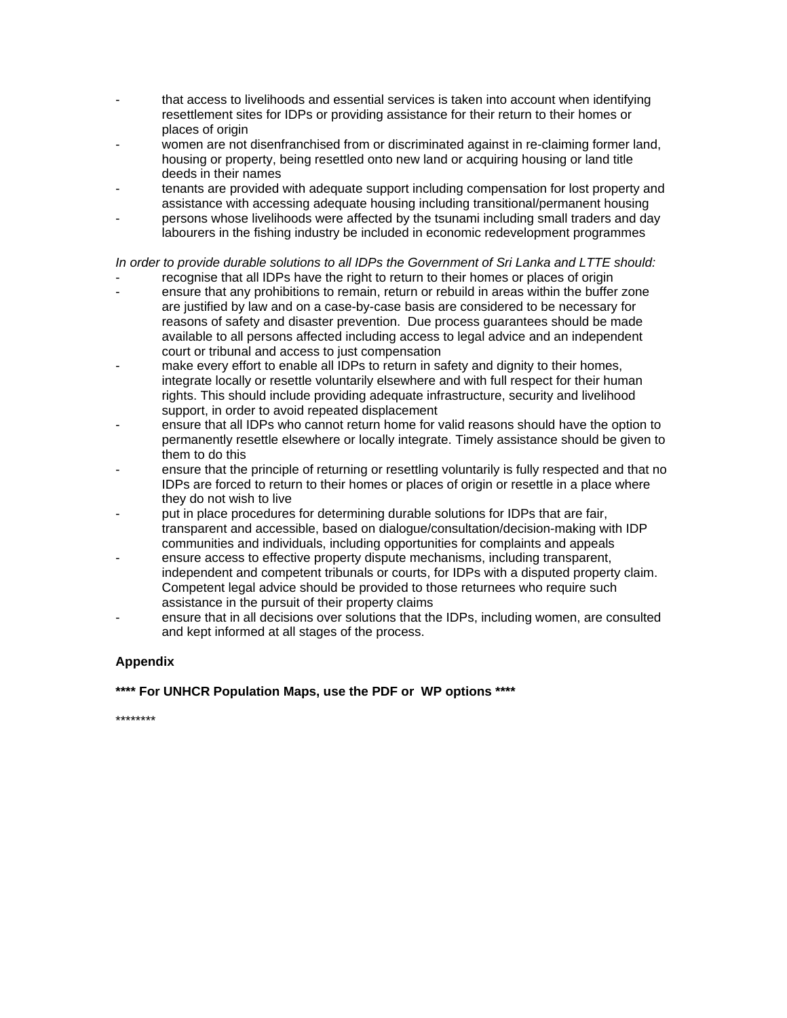- that access to livelihoods and essential services is taken into account when identifying resettlement sites for IDPs or providing assistance for their return to their homes or places of origin
- women are not disenfranchised from or discriminated against in re-claiming former land, housing or property, being resettled onto new land or acquiring housing or land title deeds in their names
- tenants are provided with adequate support including compensation for lost property and assistance with accessing adequate housing including transitional/permanent housing
- persons whose livelihoods were affected by the tsunami including small traders and day labourers in the fishing industry be included in economic redevelopment programmes

# *In order to provide durable solutions to all IDPs the Government of Sri Lanka and LTTE should:*

- recognise that all IDPs have the right to return to their homes or places of origin
- ensure that any prohibitions to remain, return or rebuild in areas within the buffer zone are justified by law and on a case-by-case basis are considered to be necessary for reasons of safety and disaster prevention. Due process guarantees should be made available to all persons affected including access to legal advice and an independent court or tribunal and access to just compensation
- make every effort to enable all IDPs to return in safety and dignity to their homes, integrate locally or resettle voluntarily elsewhere and with full respect for their human rights. This should include providing adequate infrastructure, security and livelihood support, in order to avoid repeated displacement
- ensure that all IDPs who cannot return home for valid reasons should have the option to permanently resettle elsewhere or locally integrate. Timely assistance should be given to them to do this
- ensure that the principle of returning or resettling voluntarily is fully respected and that no IDPs are forced to return to their homes or places of origin or resettle in a place where they do not wish to live
- put in place procedures for determining durable solutions for IDPs that are fair, transparent and accessible, based on dialogue/consultation/decision-making with IDP communities and individuals, including opportunities for complaints and appeals
- ensure access to effective property dispute mechanisms, including transparent, independent and competent tribunals or courts, for IDPs with a disputed property claim. Competent legal advice should be provided to those returnees who require such assistance in the pursuit of their property claims
- ensure that in all decisions over solutions that the IDPs, including women, are consulted and kept informed at all stages of the process.

# **Appendix**

# **\*\*\*\* For UNHCR Population Maps, use the PDF or WP options \*\*\*\***

\*\*\*\*\*\*\*\*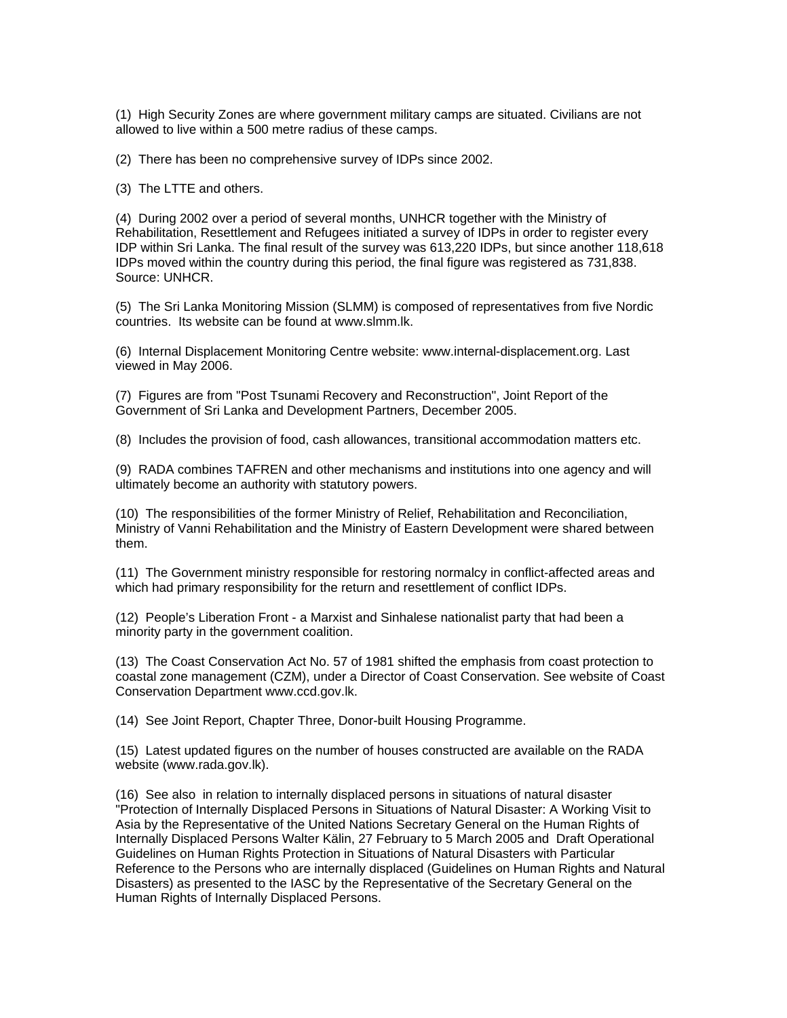(1) High Security Zones are where government military camps are situated. Civilians are not allowed to live within a 500 metre radius of these camps.

(2) There has been no comprehensive survey of IDPs since 2002.

(3) The LTTE and others.

(4) During 2002 over a period of several months, UNHCR together with the Ministry of Rehabilitation, Resettlement and Refugees initiated a survey of IDPs in order to register every IDP within Sri Lanka. The final result of the survey was 613,220 IDPs, but since another 118,618 IDPs moved within the country during this period, the final figure was registered as 731,838. Source: UNHCR.

(5) The Sri Lanka Monitoring Mission (SLMM) is composed of representatives from five Nordic countries. Its website can be found at www.slmm.lk.

(6) Internal Displacement Monitoring Centre website: www.internal-displacement.org. Last viewed in May 2006.

(7) Figures are from "Post Tsunami Recovery and Reconstruction", Joint Report of the Government of Sri Lanka and Development Partners, December 2005.

(8) Includes the provision of food, cash allowances, transitional accommodation matters etc.

(9) RADA combines TAFREN and other mechanisms and institutions into one agency and will ultimately become an authority with statutory powers.

(10) The responsibilities of the former Ministry of Relief, Rehabilitation and Reconciliation, Ministry of Vanni Rehabilitation and the Ministry of Eastern Development were shared between them.

(11) The Government ministry responsible for restoring normalcy in conflict-affected areas and which had primary responsibility for the return and resettlement of conflict IDPs.

(12) People's Liberation Front - a Marxist and Sinhalese nationalist party that had been a minority party in the government coalition.

(13) The Coast Conservation Act No. 57 of 1981 shifted the emphasis from coast protection to coastal zone management (CZM), under a Director of Coast Conservation. See website of Coast Conservation Department www.ccd.gov.lk.

(14) See Joint Report, Chapter Three, Donor-built Housing Programme.

(15) Latest updated figures on the number of houses constructed are available on the RADA website (www.rada.gov.lk).

(16) See also in relation to internally displaced persons in situations of natural disaster "Protection of Internally Displaced Persons in Situations of Natural Disaster: A Working Visit to Asia by the Representative of the United Nations Secretary General on the Human Rights of Internally Displaced Persons Walter Kälin, 27 February to 5 March 2005 and Draft Operational Guidelines on Human Rights Protection in Situations of Natural Disasters with Particular Reference to the Persons who are internally displaced (Guidelines on Human Rights and Natural Disasters) as presented to the IASC by the Representative of the Secretary General on the Human Rights of Internally Displaced Persons.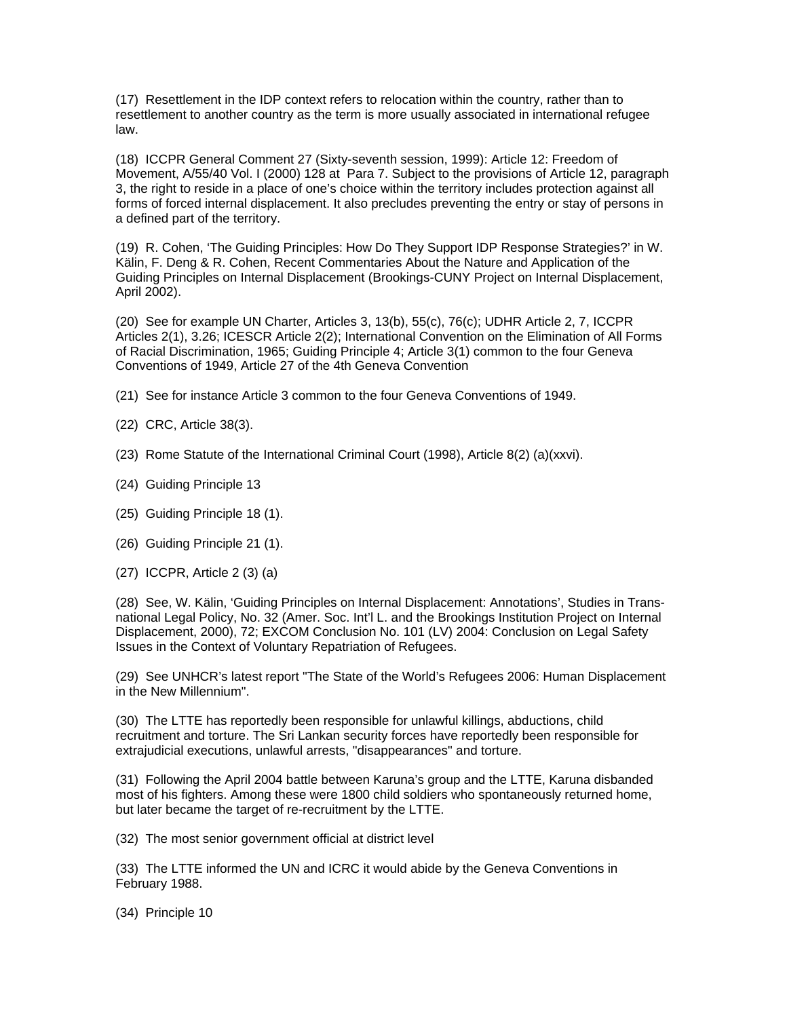(17) Resettlement in the IDP context refers to relocation within the country, rather than to resettlement to another country as the term is more usually associated in international refugee law.

(18) ICCPR General Comment 27 (Sixty-seventh session, 1999): Article 12: Freedom of Movement, A/55/40 Vol. I (2000) 128 at Para 7. Subject to the provisions of Article 12, paragraph 3, the right to reside in a place of one's choice within the territory includes protection against all forms of forced internal displacement. It also precludes preventing the entry or stay of persons in a defined part of the territory.

(19) R. Cohen, 'The Guiding Principles: How Do They Support IDP Response Strategies?' in W. Kälin, F. Deng & R. Cohen, Recent Commentaries About the Nature and Application of the Guiding Principles on Internal Displacement (Brookings-CUNY Project on Internal Displacement, April 2002).

(20) See for example UN Charter, Articles 3, 13(b), 55(c), 76(c); UDHR Article 2, 7, ICCPR Articles 2(1), 3.26; ICESCR Article 2(2); International Convention on the Elimination of All Forms of Racial Discrimination, 1965; Guiding Principle 4; Article 3(1) common to the four Geneva Conventions of 1949, Article 27 of the 4th Geneva Convention

- (21) See for instance Article 3 common to the four Geneva Conventions of 1949.
- (22) CRC, Article 38(3).
- (23) Rome Statute of the International Criminal Court (1998), Article 8(2) (a)(xxvi).
- (24) Guiding Principle 13
- (25) Guiding Principle 18 (1).
- (26) Guiding Principle 21 (1).
- (27) ICCPR, Article 2 (3) (a)

(28) See, W. Kälin, 'Guiding Principles on Internal Displacement: Annotations', Studies in Transnational Legal Policy, No. 32 (Amer. Soc. Int'l L. and the Brookings Institution Project on Internal Displacement, 2000), 72; EXCOM Conclusion No. 101 (LV) 2004: Conclusion on Legal Safety Issues in the Context of Voluntary Repatriation of Refugees.

(29) See UNHCR's latest report "The State of the World's Refugees 2006: Human Displacement in the New Millennium".

(30) The LTTE has reportedly been responsible for unlawful killings, abductions, child recruitment and torture. The Sri Lankan security forces have reportedly been responsible for extrajudicial executions, unlawful arrests, "disappearances" and torture.

(31) Following the April 2004 battle between Karuna's group and the LTTE, Karuna disbanded most of his fighters. Among these were 1800 child soldiers who spontaneously returned home, but later became the target of re-recruitment by the LTTE.

(32) The most senior government official at district level

(33) The LTTE informed the UN and ICRC it would abide by the Geneva Conventions in February 1988.

(34) Principle 10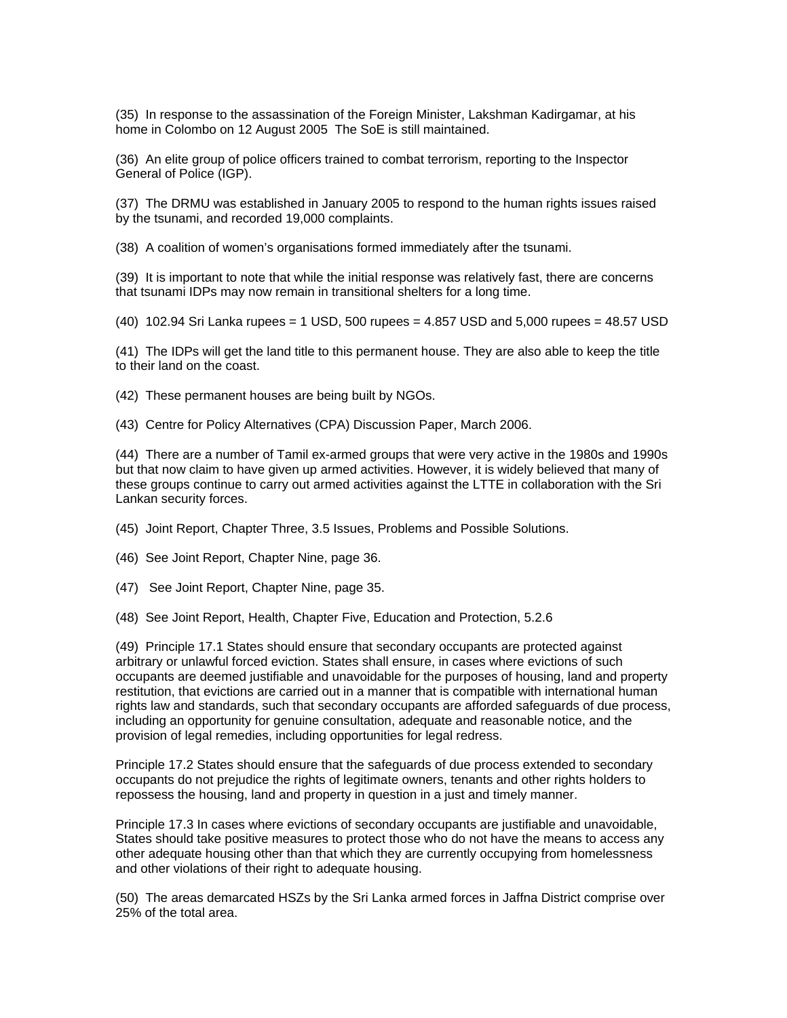(35) In response to the assassination of the Foreign Minister, Lakshman Kadirgamar, at his home in Colombo on 12 August 2005 The SoE is still maintained.

(36) An elite group of police officers trained to combat terrorism, reporting to the Inspector General of Police (IGP).

(37) The DRMU was established in January 2005 to respond to the human rights issues raised by the tsunami, and recorded 19,000 complaints.

(38) A coalition of women's organisations formed immediately after the tsunami.

(39) It is important to note that while the initial response was relatively fast, there are concerns that tsunami IDPs may now remain in transitional shelters for a long time.

(40) 102.94 Sri Lanka rupees = 1 USD, 500 rupees = 4.857 USD and 5,000 rupees = 48.57 USD

(41) The IDPs will get the land title to this permanent house. They are also able to keep the title to their land on the coast.

(42) These permanent houses are being built by NGOs.

(43) Centre for Policy Alternatives (CPA) Discussion Paper, March 2006.

(44) There are a number of Tamil ex-armed groups that were very active in the 1980s and 1990s but that now claim to have given up armed activities. However, it is widely believed that many of these groups continue to carry out armed activities against the LTTE in collaboration with the Sri Lankan security forces.

(45) Joint Report, Chapter Three, 3.5 Issues, Problems and Possible Solutions.

(46) See Joint Report, Chapter Nine, page 36.

(47) See Joint Report, Chapter Nine, page 35.

(48) See Joint Report, Health, Chapter Five, Education and Protection, 5.2.6

(49) Principle 17.1 States should ensure that secondary occupants are protected against arbitrary or unlawful forced eviction. States shall ensure, in cases where evictions of such occupants are deemed justifiable and unavoidable for the purposes of housing, land and property restitution, that evictions are carried out in a manner that is compatible with international human rights law and standards, such that secondary occupants are afforded safeguards of due process, including an opportunity for genuine consultation, adequate and reasonable notice, and the provision of legal remedies, including opportunities for legal redress.

Principle 17.2 States should ensure that the safeguards of due process extended to secondary occupants do not prejudice the rights of legitimate owners, tenants and other rights holders to repossess the housing, land and property in question in a just and timely manner.

Principle 17.3 In cases where evictions of secondary occupants are justifiable and unavoidable, States should take positive measures to protect those who do not have the means to access any other adequate housing other than that which they are currently occupying from homelessness and other violations of their right to adequate housing.

(50) The areas demarcated HSZs by the Sri Lanka armed forces in Jaffna District comprise over 25% of the total area.